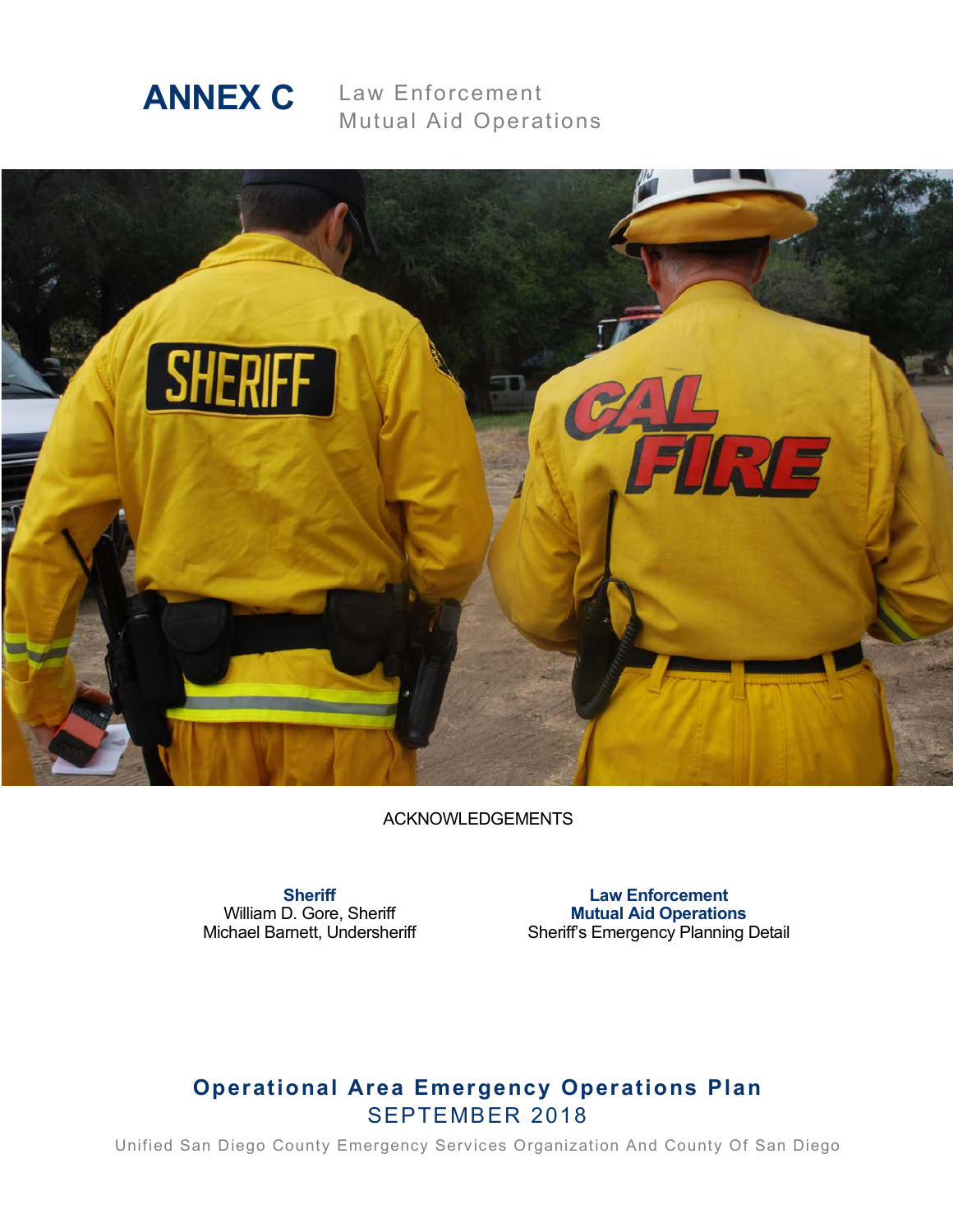

Law Enforcement Mutual Aid Operations



ACKNOWLEDGEMENTS

**Sheriff** William D. Gore, Sheriff Michael Barnett, Undersheriff

**Law Enforcement Mutual Aid Operations** Sheriff's Emergency Planning Detail

# **Operational Area Emergency Operations Plan** SEPTEMBER 2018

Unified San Diego County Emergency Services Organization And County Of San Diego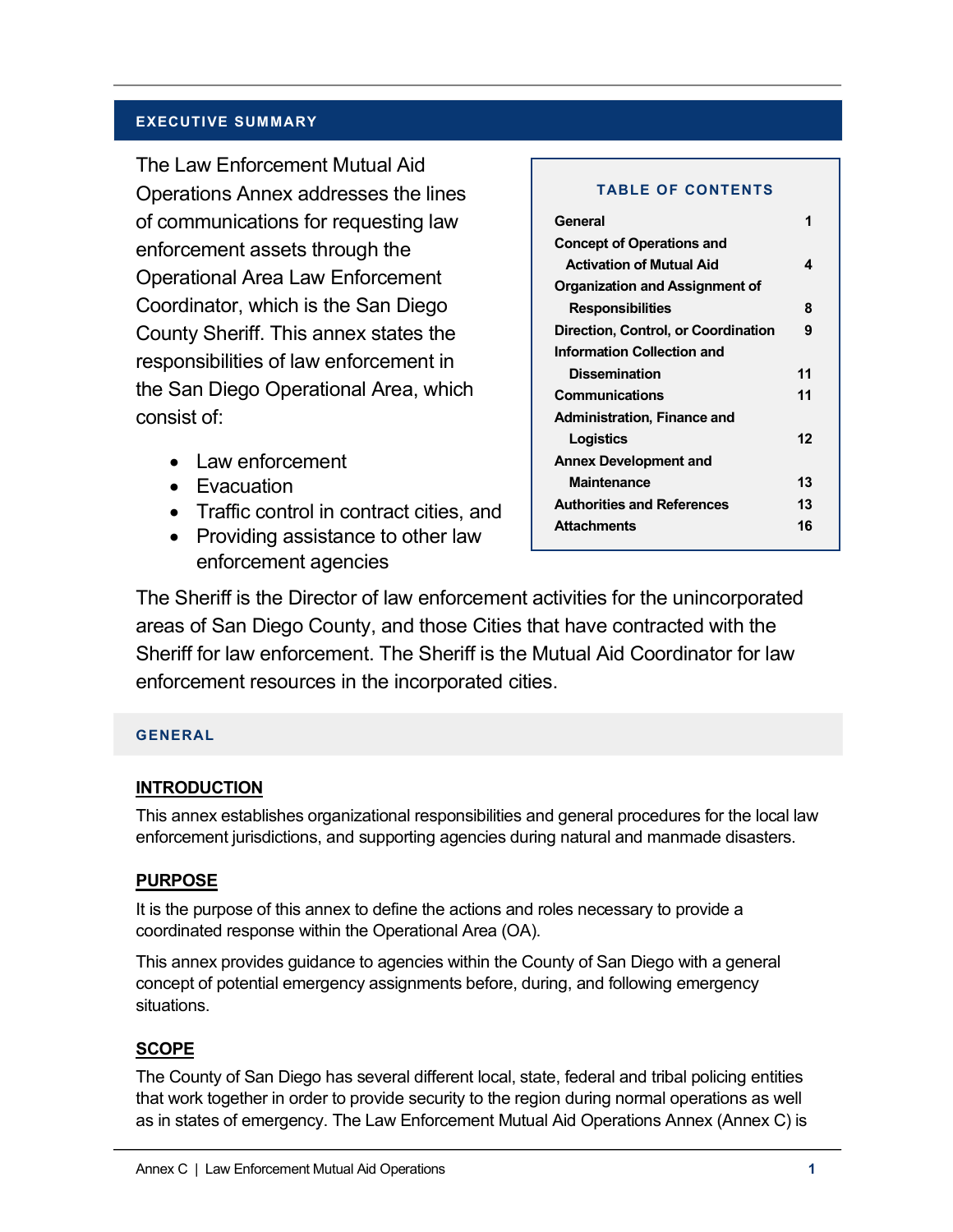### **EXECUTIVE SUMMARY**

The Law Enforcement Mutual Aid Operations Annex addresses the lines of communications for requesting law enforcement assets through the Operational Area Law Enforcement Coordinator, which is the San Diego County Sheriff. This annex states the responsibilities of law enforcement in the San Diego Operational Area, which consist of:

- Law enforcement
- Evacuation
- Traffic control in contract cities, and
- Providing assistance to other law enforcement agencies

#### **TABLE OF CONTENTS**

| General                             |    |
|-------------------------------------|----|
| <b>Concept of Operations and</b>    |    |
| <b>Activation of Mutual Aid</b>     | 4  |
| Organization and Assignment of      |    |
| <b>Responsibilities</b>             | 8  |
| Direction, Control, or Coordination | 9  |
| <b>Information Collection and</b>   |    |
| <b>Dissemination</b>                | 11 |
| <b>Communications</b>               | 11 |
| <b>Administration, Finance and</b>  |    |
| Logistics                           | 12 |
| <b>Annex Development and</b>        |    |
| <b>Maintenance</b>                  | 13 |
| <b>Authorities and References</b>   | 13 |
| <b>Attachments</b>                  | 16 |
|                                     |    |

The Sheriff is the Director of law enforcement activities for the unincorporated areas of San Diego County, and those Cities that have contracted with the Sheriff for law enforcement. The Sheriff is the Mutual Aid Coordinator for law enforcement resources in the incorporated cities.

#### **GENERAL**

### **INTRODUCTION**

This annex establishes organizational responsibilities and general procedures for the local law enforcement jurisdictions, and supporting agencies during natural and manmade disasters.

### **PURPOSE**

It is the purpose of this annex to define the actions and roles necessary to provide a coordinated response within the Operational Area (OA).

This annex provides guidance to agencies within the County of San Diego with a general concept of potential emergency assignments before, during, and following emergency situations.

# **SCOPE**

The County of San Diego has several different local, state, federal and tribal policing entities that work together in order to provide security to the region during normal operations as well as in states of emergency. The Law Enforcement Mutual Aid Operations Annex (Annex C) is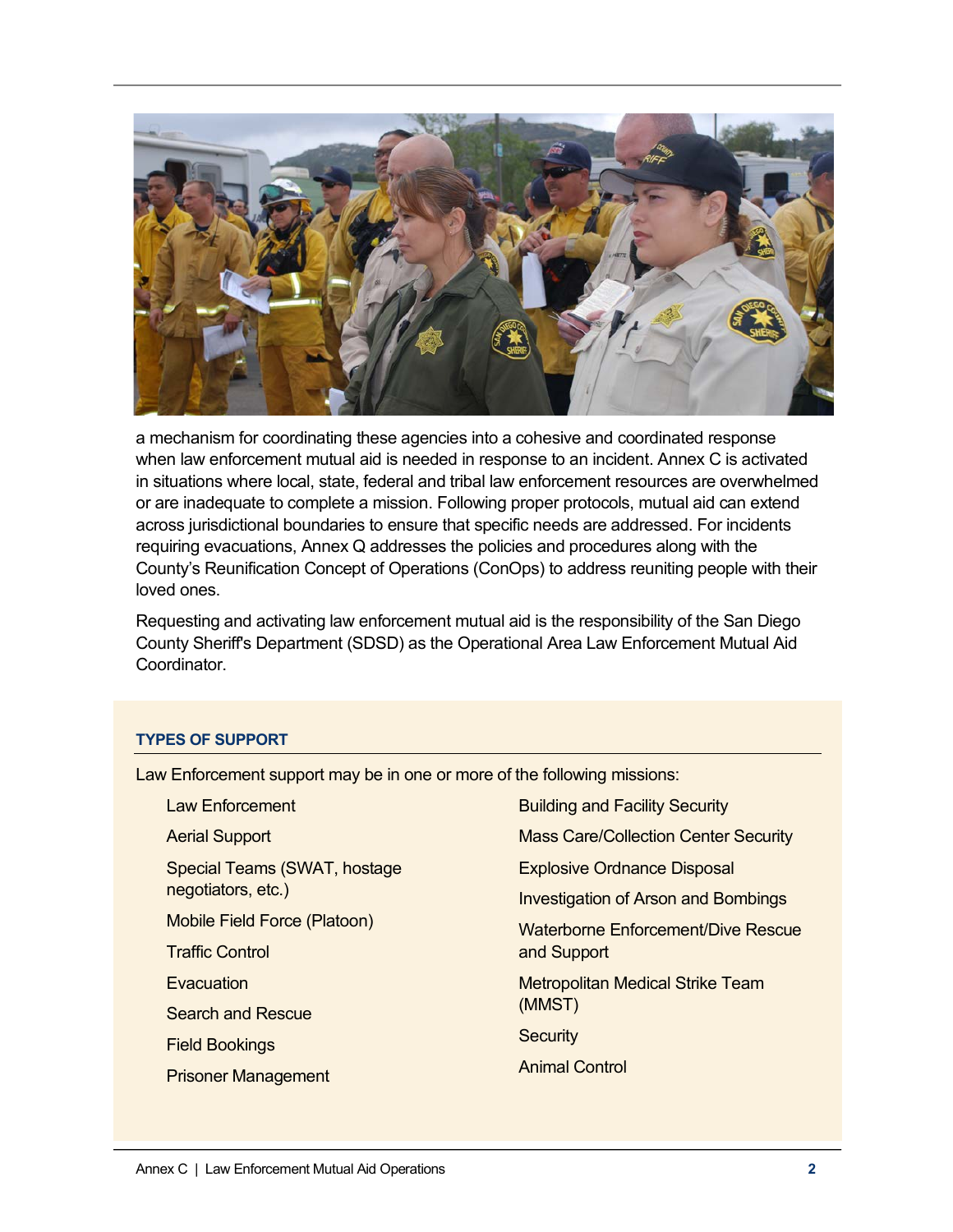

a mechanism for coordinating these agencies into a cohesive and coordinated response when law enforcement mutual aid is needed in response to an incident. Annex C is activated in situations where local, state, federal and tribal law enforcement resources are overwhelmed or are inadequate to complete a mission. Following proper protocols, mutual aid can extend across jurisdictional boundaries to ensure that specific needs are addressed. For incidents requiring evacuations, Annex Q addresses the policies and procedures along with the County's Reunification Concept of Operations (ConOps) to address reuniting people with their loved ones.

Requesting and activating law enforcement mutual aid is the responsibility of the San Diego County Sheriff's Department (SDSD) as the Operational Area Law Enforcement Mutual Aid Coordinator.

#### **TYPES OF SUPPORT**

Law Enforcement support may be in one or more of the following missions:

| <b>Building and Facility Security</b>       |
|---------------------------------------------|
| <b>Mass Care/Collection Center Security</b> |
| <b>Explosive Ordnance Disposal</b>          |
| <b>Investigation of Arson and Bombings</b>  |
| Waterborne Enforcement/Dive Rescue          |
| and Support                                 |
| <b>Metropolitan Medical Strike Team</b>     |
| (MMST)                                      |
| <b>Security</b>                             |
| <b>Animal Control</b>                       |
|                                             |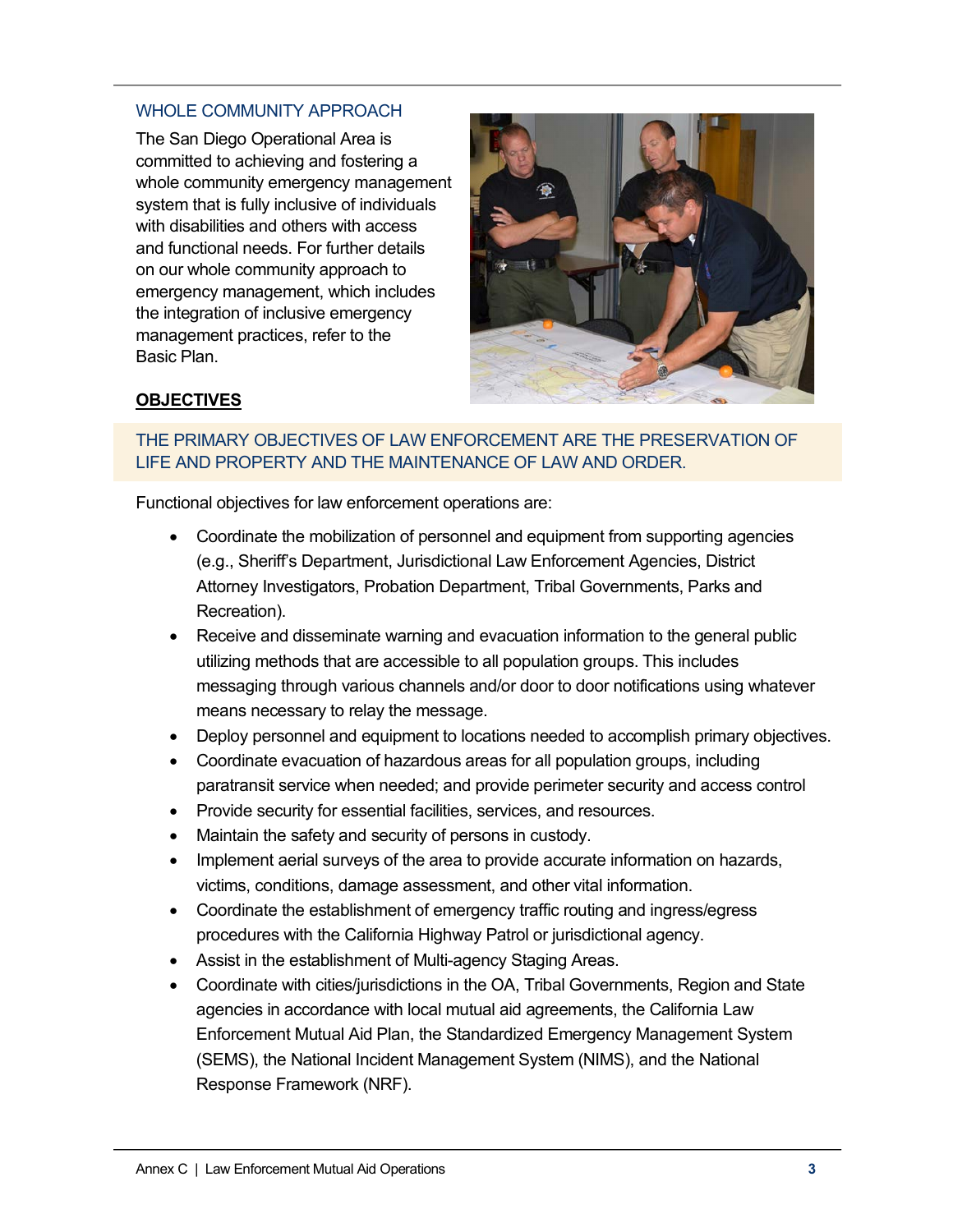### WHOLE COMMUNITY APPROACH

The San Diego Operational Area is committed to achieving and fostering a whole community emergency management system that is fully inclusive of individuals with disabilities and others with access and functional needs. For further details on our whole community approach to emergency management, which includes the integration of inclusive emergency management practices, refer to the Basic Plan.



# **OBJECTIVES**

### THE PRIMARY OBJECTIVES OF LAW ENFORCEMENT ARE THE PRESERVATION OF LIFE AND PROPERTY AND THE MAINTENANCE OF LAW AND ORDER.

Functional objectives for law enforcement operations are:

- Coordinate the mobilization of personnel and equipment from supporting agencies (e.g., Sheriff's Department, Jurisdictional Law Enforcement Agencies, District Attorney Investigators, Probation Department, Tribal Governments, Parks and Recreation).
- Receive and disseminate warning and evacuation information to the general public utilizing methods that are accessible to all population groups. This includes messaging through various channels and/or door to door notifications using whatever means necessary to relay the message.
- Deploy personnel and equipment to locations needed to accomplish primary objectives.
- Coordinate evacuation of hazardous areas for all population groups, including paratransit service when needed; and provide perimeter security and access control
- Provide security for essential facilities, services, and resources.
- Maintain the safety and security of persons in custody.
- Implement aerial surveys of the area to provide accurate information on hazards, victims, conditions, damage assessment, and other vital information.
- Coordinate the establishment of emergency traffic routing and ingress/egress procedures with the California Highway Patrol or jurisdictional agency.
- Assist in the establishment of Multi-agency Staging Areas.
- Coordinate with cities/jurisdictions in the OA, Tribal Governments, Region and State agencies in accordance with local mutual aid agreements, the California Law Enforcement Mutual Aid Plan, the Standardized Emergency Management System (SEMS), the National Incident Management System (NIMS), and the National Response Framework (NRF).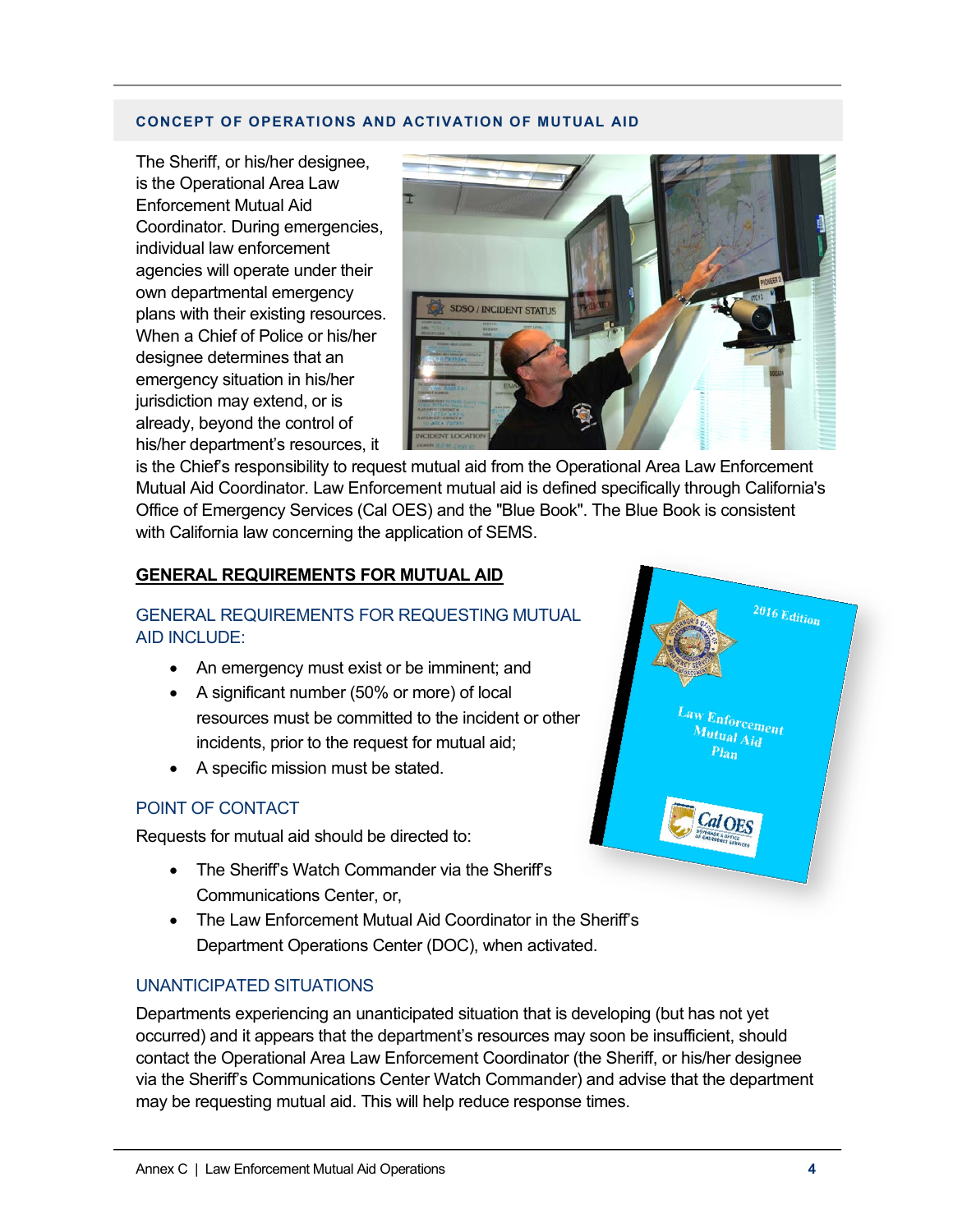#### **CONCEPT OF OPERATIONS AND ACTIVATION OF MUTUAL AID**

The Sheriff, or his/her designee, is the Operational Area Law Enforcement Mutual Aid Coordinator. During emergencies, individual law enforcement agencies will operate under their own departmental emergency plans with their existing resources. When a Chief of Police or his/her designee determines that an emergency situation in his/her jurisdiction may extend, or is already, beyond the control of his/her department's resources, it



is the Chief's responsibility to request mutual aid from the Operational Area Law Enforcement Mutual Aid Coordinator. Law Enforcement mutual aid is defined specifically through California's Office of Emergency Services (Cal OES) and the "Blue Book". The Blue Book is consistent with California law concerning the application of SEMS.

#### **GENERAL REQUIREMENTS FOR MUTUAL AID**

### GENERAL REQUIREMENTS FOR REQUESTING MUTUAL AID INCLUDE:

- An emergency must exist or be imminent; and
- A significant number (50% or more) of local resources must be committed to the incident or other incidents, prior to the request for mutual aid;
- A specific mission must be stated.

#### POINT OF CONTACT

Requests for mutual aid should be directed to:

- The Sheriff's Watch Commander via the Sheriff's Communications Center, or,
- The Law Enforcement Mutual Aid Coordinator in the Sheriff's Department Operations Center (DOC), when activated.

#### UNANTICIPATED SITUATIONS

Departments experiencing an unanticipated situation that is developing (but has not yet occurred) and it appears that the department's resources may soon be insufficient, should contact the Operational Area Law Enforcement Coordinator (the Sheriff, or his/her designee via the Sheriff's Communications Center Watch Commander) and advise that the department may be requesting mutual aid. This will help reduce response times.

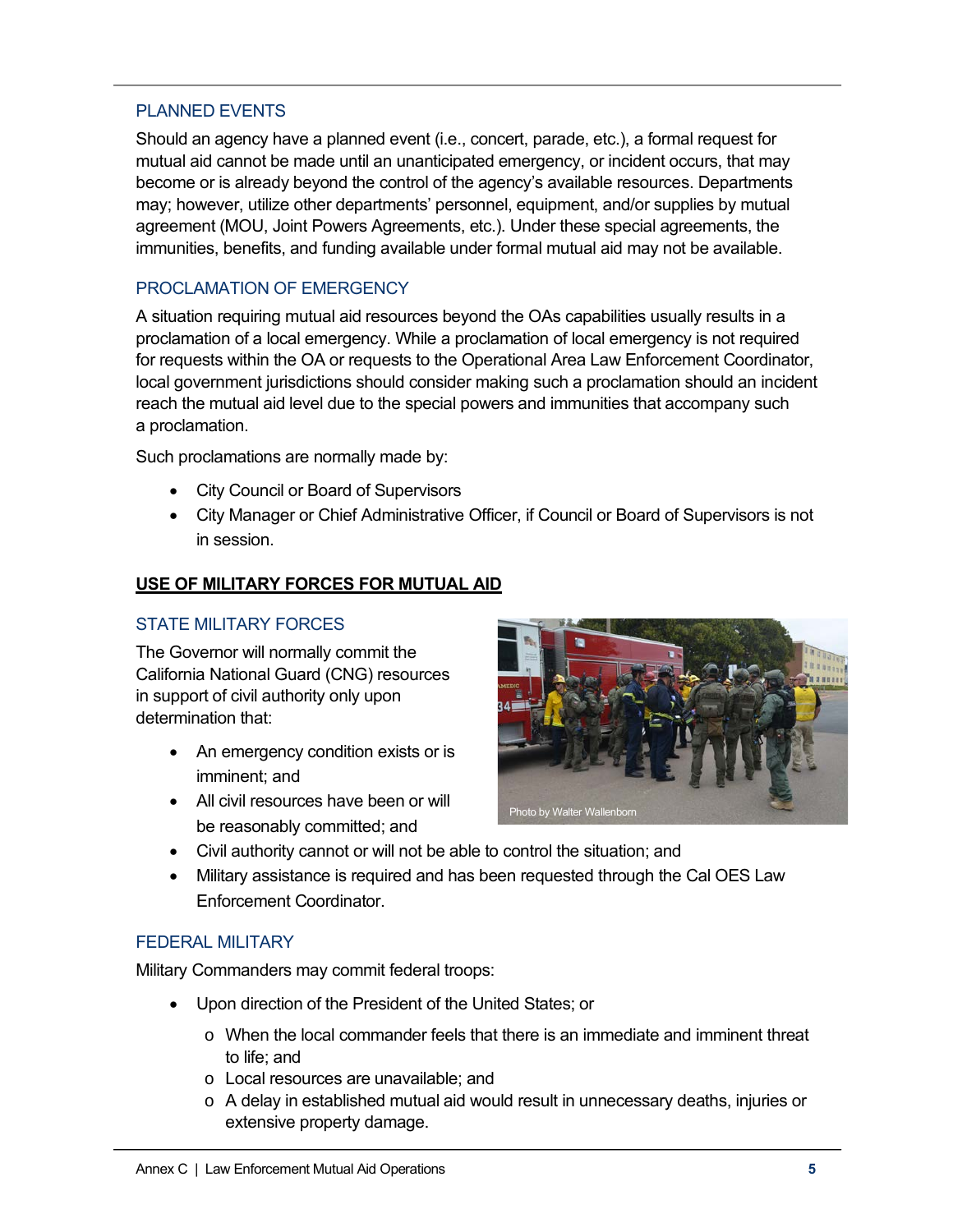### PLANNED EVENTS

Should an agency have a planned event (i.e., concert, parade, etc.), a formal request for mutual aid cannot be made until an unanticipated emergency, or incident occurs, that may become or is already beyond the control of the agency's available resources. Departments may; however, utilize other departments' personnel, equipment, and/or supplies by mutual agreement (MOU, Joint Powers Agreements, etc.). Under these special agreements, the immunities, benefits, and funding available under formal mutual aid may not be available.

### PROCLAMATION OF EMERGENCY

A situation requiring mutual aid resources beyond the OAs capabilities usually results in a proclamation of a local emergency. While a proclamation of local emergency is not required for requests within the OA or requests to the Operational Area Law Enforcement Coordinator, local government jurisdictions should consider making such a proclamation should an incident reach the mutual aid level due to the special powers and immunities that accompany such a proclamation.

Such proclamations are normally made by:

- City Council or Board of Supervisors
- City Manager or Chief Administrative Officer, if Council or Board of Supervisors is not in session.

### **USE OF MILITARY FORCES FOR MUTUAL AID**

### STATE MILITARY FORCES

The Governor will normally commit the California National Guard (CNG) resources in support of civil authority only upon determination that:

- An emergency condition exists or is imminent; and
- All civil resources have been or will be reasonably committed; and



- Civil authority cannot or will not be able to control the situation; and
- Military assistance is required and has been requested through the Cal OES Law Enforcement Coordinator.

### FEDERAL MILITARY

Military Commanders may commit federal troops:

- Upon direction of the President of the United States; or
	- o When the local commander feels that there is an immediate and imminent threat to life; and
	- o Local resources are unavailable; and
	- o A delay in established mutual aid would result in unnecessary deaths, injuries or extensive property damage.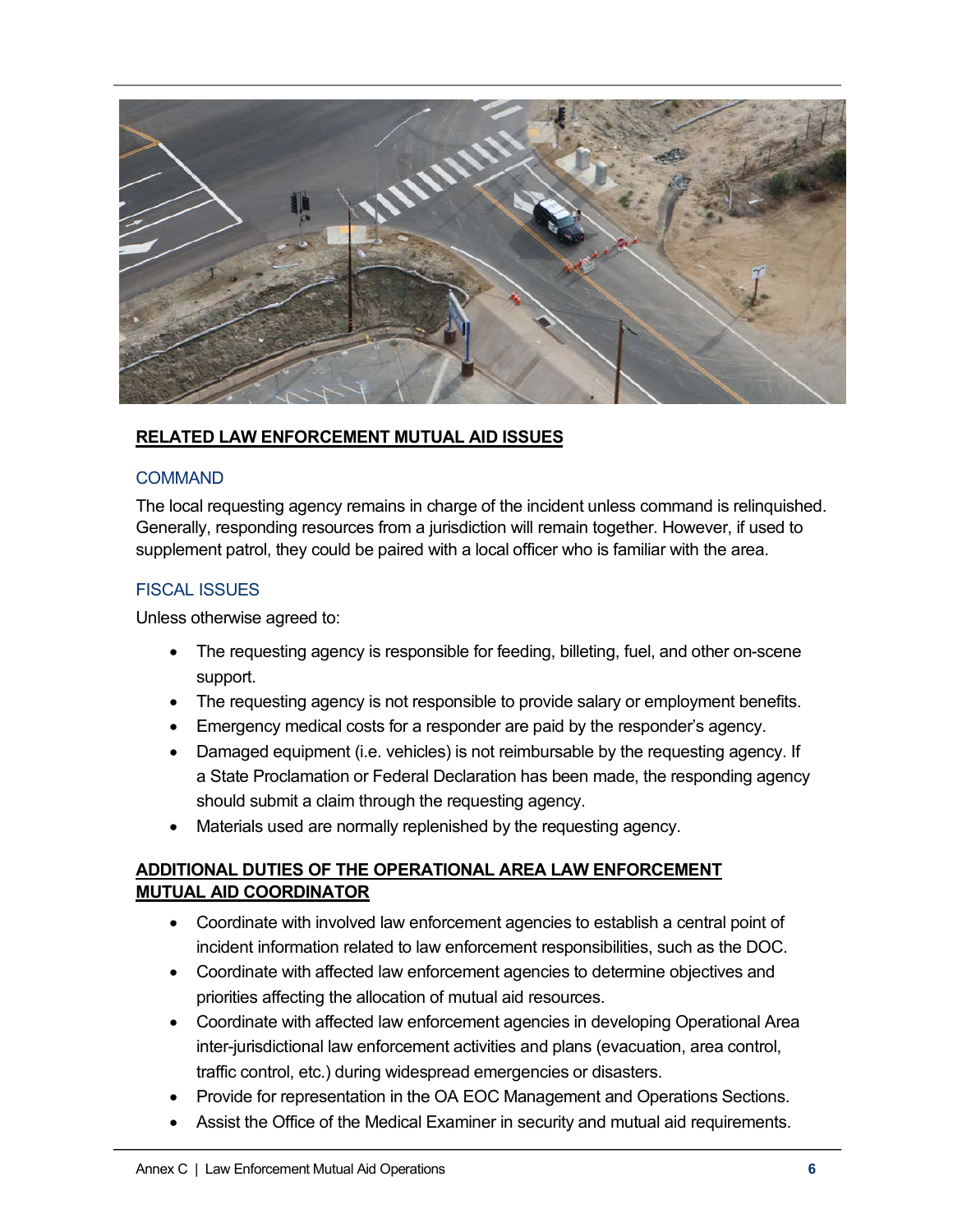

### **RELATED LAW ENFORCEMENT MUTUAL AID ISSUES**

#### **COMMAND**

The local requesting agency remains in charge of the incident unless command is relinquished. Generally, responding resources from a jurisdiction will remain together. However, if used to supplement patrol, they could be paired with a local officer who is familiar with the area.

### FISCAL ISSUES

Unless otherwise agreed to:

- The requesting agency is responsible for feeding, billeting, fuel, and other on-scene support.
- The requesting agency is not responsible to provide salary or employment benefits.
- Emergency medical costs for a responder are paid by the responder's agency.
- Damaged equipment (i.e. vehicles) is not reimbursable by the requesting agency. If a State Proclamation or Federal Declaration has been made, the responding agency should submit a claim through the requesting agency.
- Materials used are normally replenished by the requesting agency.

# **ADDITIONAL DUTIES OF THE OPERATIONAL AREA LAW ENFORCEMENT MUTUAL AID COORDINATOR**

- Coordinate with involved law enforcement agencies to establish a central point of incident information related to law enforcement responsibilities, such as the DOC.
- Coordinate with affected law enforcement agencies to determine objectives and priorities affecting the allocation of mutual aid resources.
- Coordinate with affected law enforcement agencies in developing Operational Area inter-jurisdictional law enforcement activities and plans (evacuation, area control, traffic control, etc.) during widespread emergencies or disasters.
- Provide for representation in the OA EOC Management and Operations Sections.
- Assist the Office of the Medical Examiner in security and mutual aid requirements.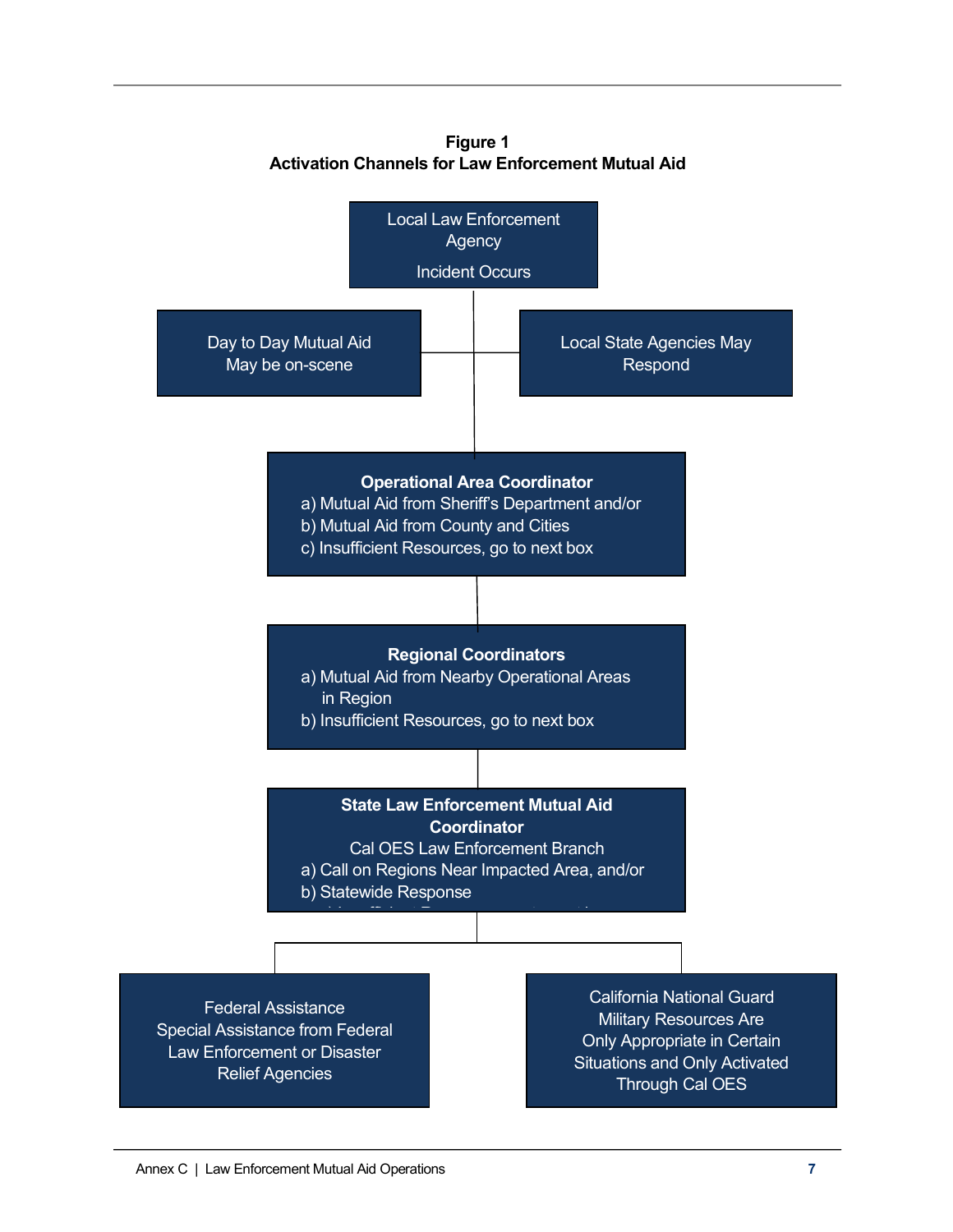

**Figure 1 Activation Channels for Law Enforcement Mutual Aid**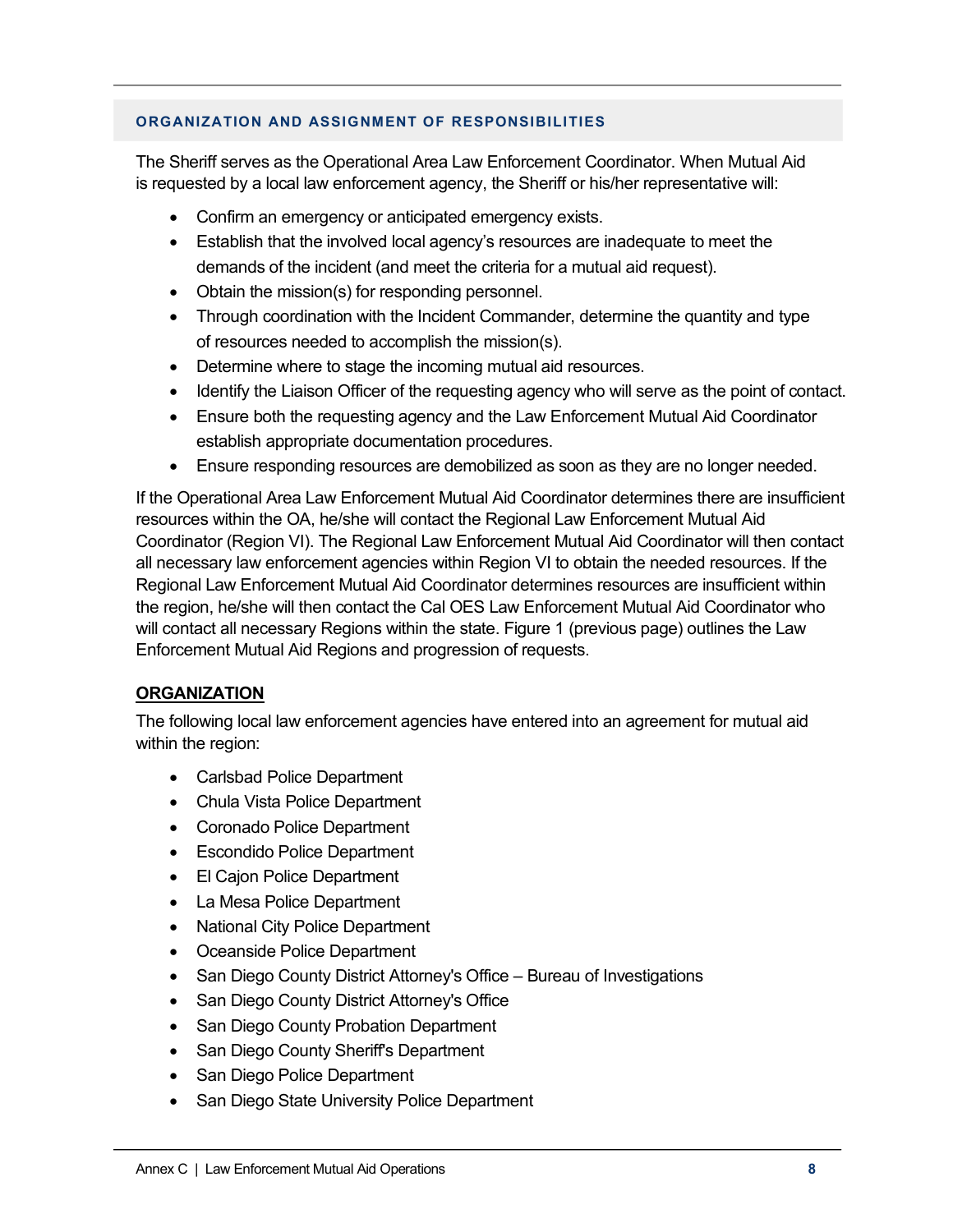#### **ORGANIZATION AND ASSIGNMENT OF RESPONSIBILITIES**

The Sheriff serves as the Operational Area Law Enforcement Coordinator. When Mutual Aid is requested by a local law enforcement agency, the Sheriff or his/her representative will:

- Confirm an emergency or anticipated emergency exists.
- Establish that the involved local agency's resources are inadequate to meet the demands of the incident (and meet the criteria for a mutual aid request).
- Obtain the mission(s) for responding personnel.
- Through coordination with the Incident Commander, determine the quantity and type of resources needed to accomplish the mission(s).
- Determine where to stage the incoming mutual aid resources.
- Identify the Liaison Officer of the requesting agency who will serve as the point of contact.
- Ensure both the requesting agency and the Law Enforcement Mutual Aid Coordinator establish appropriate documentation procedures.
- Ensure responding resources are demobilized as soon as they are no longer needed.

If the Operational Area Law Enforcement Mutual Aid Coordinator determines there are insufficient resources within the OA, he/she will contact the Regional Law Enforcement Mutual Aid Coordinator (Region VI). The Regional Law Enforcement Mutual Aid Coordinator will then contact all necessary law enforcement agencies within Region VI to obtain the needed resources. If the Regional Law Enforcement Mutual Aid Coordinator determines resources are insufficient within the region, he/she will then contact the Cal OES Law Enforcement Mutual Aid Coordinator who will contact all necessary Regions within the state. Figure 1 (previous page) outlines the Law Enforcement Mutual Aid Regions and progression of requests.

#### **ORGANIZATION**

The following local law enforcement agencies have entered into an agreement for mutual aid within the region:

- Carlsbad Police Department
- Chula Vista Police Department
- Coronado Police Department
- Escondido Police Department
- El Cajon Police Department
- La Mesa Police Department
- National City Police Department
- Oceanside Police Department
- San Diego County District Attorney's Office Bureau of Investigations
- San Diego County District Attorney's Office
- San Diego County Probation Department
- San Diego County Sheriff's Department
- San Diego Police Department
- San Diego State University Police Department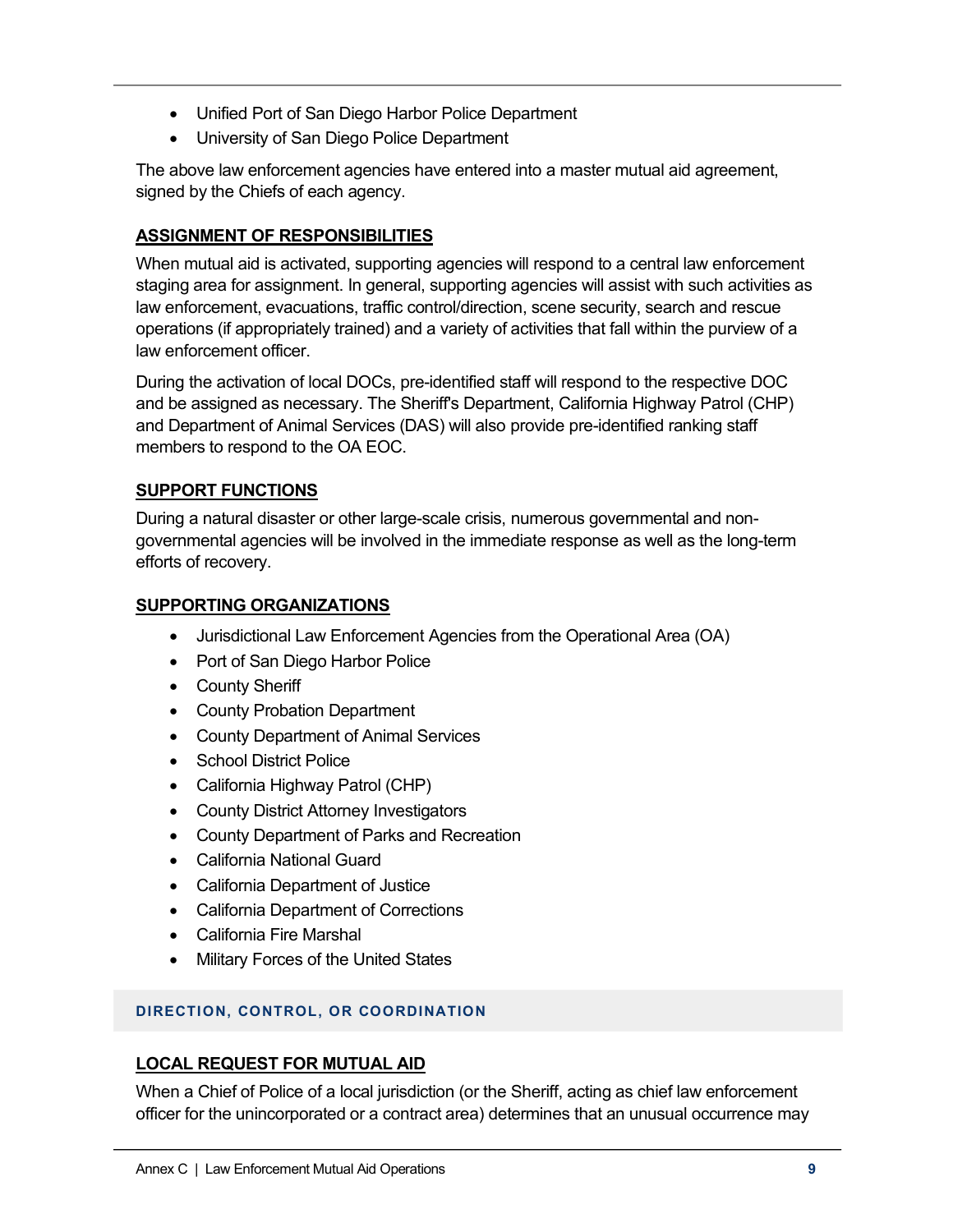- Unified Port of San Diego Harbor Police Department
- University of San Diego Police Department

The above law enforcement agencies have entered into a master mutual aid agreement, signed by the Chiefs of each agency.

# **ASSIGNMENT OF RESPONSIBILITIES**

When mutual aid is activated, supporting agencies will respond to a central law enforcement staging area for assignment. In general, supporting agencies will assist with such activities as law enforcement, evacuations, traffic control/direction, scene security, search and rescue operations (if appropriately trained) and a variety of activities that fall within the purview of a law enforcement officer.

During the activation of local DOCs, pre-identified staff will respond to the respective DOC and be assigned as necessary. The Sheriff's Department, California Highway Patrol (CHP) and Department of Animal Services (DAS) will also provide pre-identified ranking staff members to respond to the OA EOC.

### **SUPPORT FUNCTIONS**

During a natural disaster or other large-scale crisis, numerous governmental and nongovernmental agencies will be involved in the immediate response as well as the long-term efforts of recovery.

### **SUPPORTING ORGANIZATIONS**

- Jurisdictional Law Enforcement Agencies from the Operational Area (OA)
- Port of San Diego Harbor Police
- County Sheriff
- County Probation Department
- County Department of Animal Services
- School District Police
- California Highway Patrol (CHP)
- County District Attorney Investigators
- County Department of Parks and Recreation
- California National Guard
- California Department of Justice
- California Department of Corrections
- California Fire Marshal
- Military Forces of the United States

#### **DIRECTION, CONTROL, OR COORDINATION**

#### **LOCAL REQUEST FOR MUTUAL AID**

When a Chief of Police of a local jurisdiction (or the Sheriff, acting as chief law enforcement officer for the unincorporated or a contract area) determines that an unusual occurrence may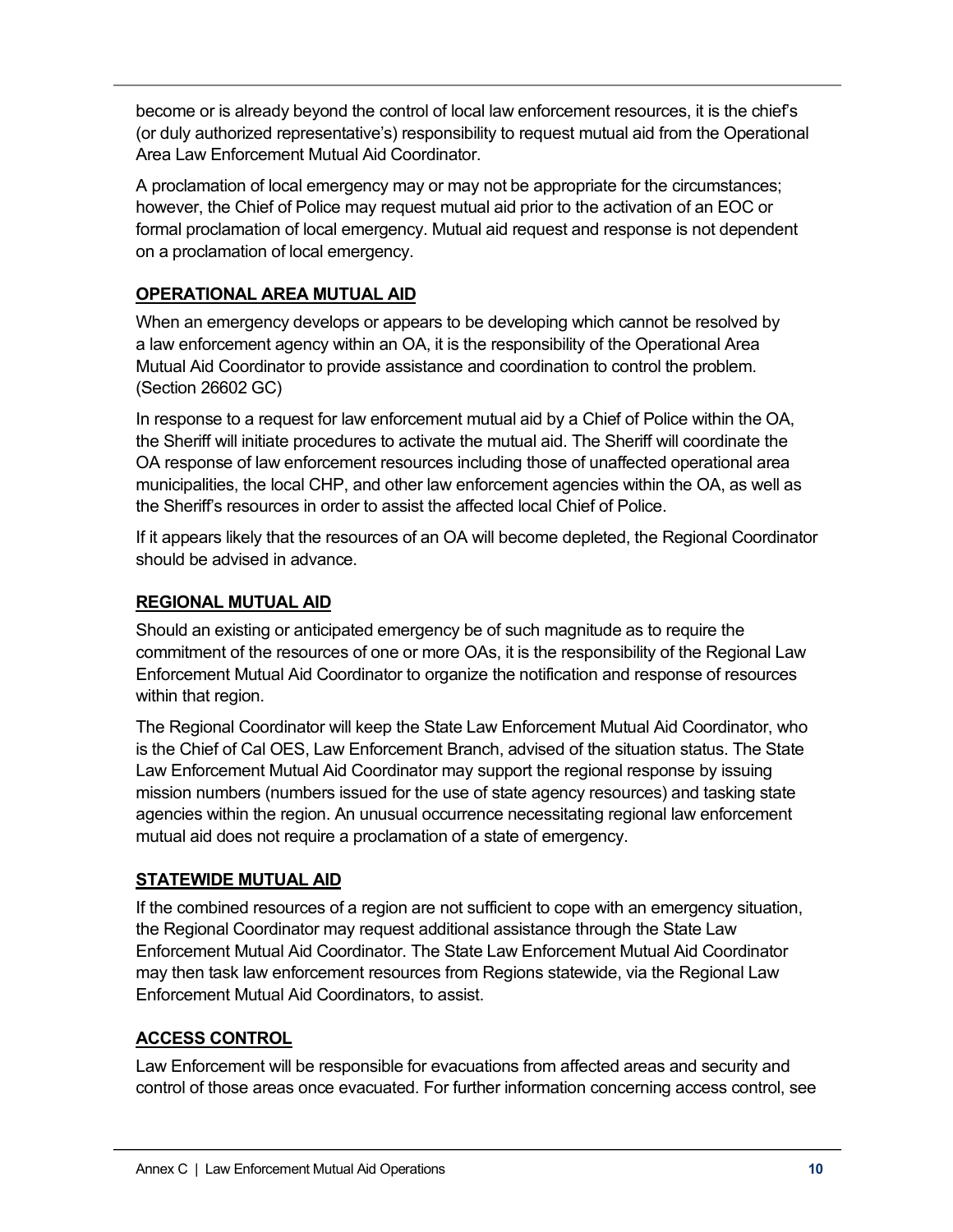become or is already beyond the control of local law enforcement resources, it is the chief's (or duly authorized representative's) responsibility to request mutual aid from the Operational Area Law Enforcement Mutual Aid Coordinator.

A proclamation of local emergency may or may not be appropriate for the circumstances; however, the Chief of Police may request mutual aid prior to the activation of an EOC or formal proclamation of local emergency. Mutual aid request and response is not dependent on a proclamation of local emergency.

# **OPERATIONAL AREA MUTUAL AID**

When an emergency develops or appears to be developing which cannot be resolved by a law enforcement agency within an OA, it is the responsibility of the Operational Area Mutual Aid Coordinator to provide assistance and coordination to control the problem. (Section 26602 GC)

In response to a request for law enforcement mutual aid by a Chief of Police within the OA, the Sheriff will initiate procedures to activate the mutual aid. The Sheriff will coordinate the OA response of law enforcement resources including those of unaffected operational area municipalities, the local CHP, and other law enforcement agencies within the OA, as well as the Sheriff's resources in order to assist the affected local Chief of Police.

If it appears likely that the resources of an OA will become depleted, the Regional Coordinator should be advised in advance.

# **REGIONAL MUTUAL AID**

Should an existing or anticipated emergency be of such magnitude as to require the commitment of the resources of one or more OAs, it is the responsibility of the Regional Law Enforcement Mutual Aid Coordinator to organize the notification and response of resources within that region.

The Regional Coordinator will keep the State Law Enforcement Mutual Aid Coordinator, who is the Chief of Cal OES, Law Enforcement Branch, advised of the situation status. The State Law Enforcement Mutual Aid Coordinator may support the regional response by issuing mission numbers (numbers issued for the use of state agency resources) and tasking state agencies within the region. An unusual occurrence necessitating regional law enforcement mutual aid does not require a proclamation of a state of emergency.

# **STATEWIDE MUTUAL AID**

If the combined resources of a region are not sufficient to cope with an emergency situation, the Regional Coordinator may request additional assistance through the State Law Enforcement Mutual Aid Coordinator. The State Law Enforcement Mutual Aid Coordinator may then task law enforcement resources from Regions statewide, via the Regional Law Enforcement Mutual Aid Coordinators, to assist.

### **ACCESS CONTROL**

Law Enforcement will be responsible for evacuations from affected areas and security and control of those areas once evacuated. For further information concerning access control, see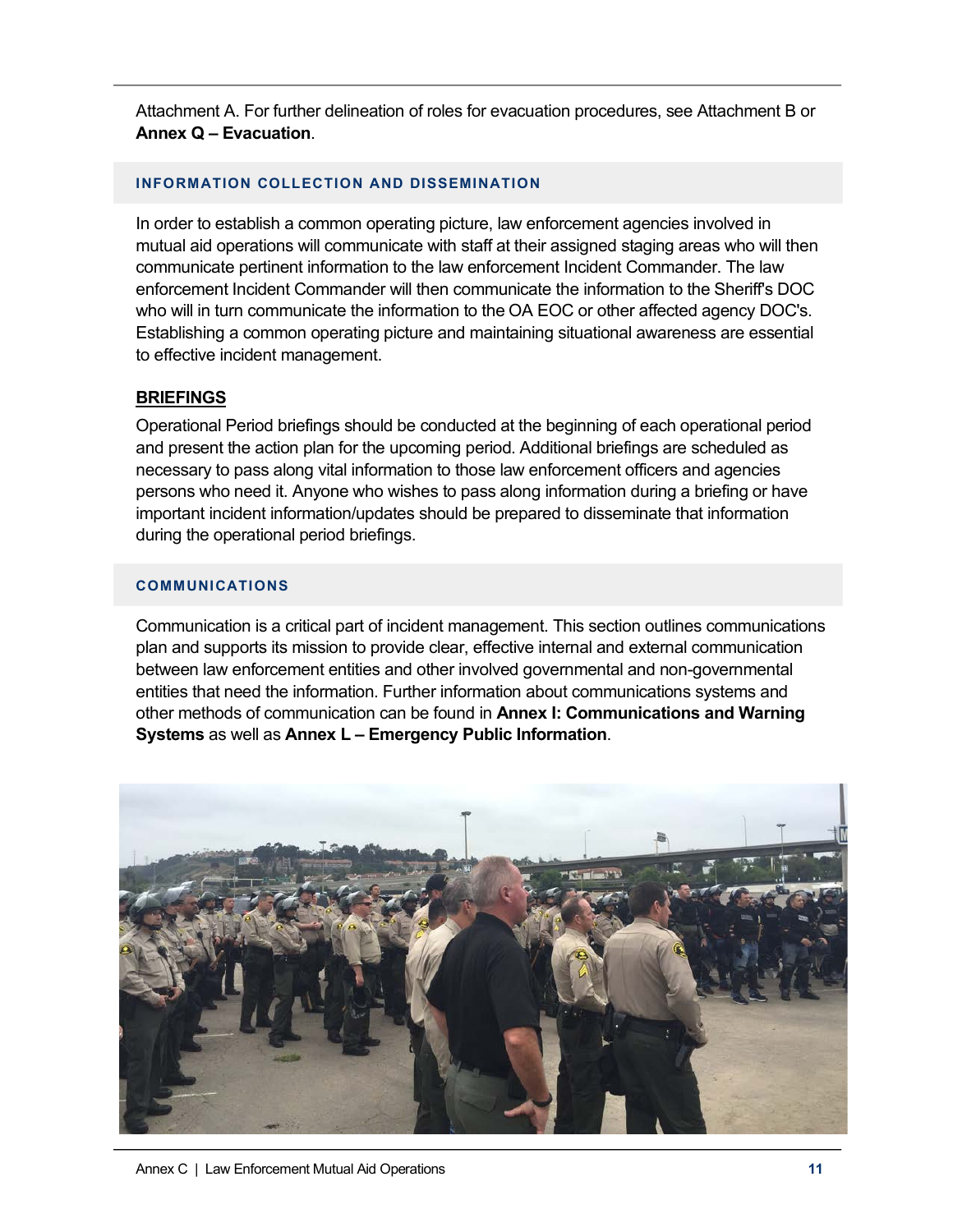Attachment A. For further delineation of roles for evacuation procedures, see Attachment B or **Annex Q – Evacuation**.

### **INFORMATION COLLECTION AND DISSEMINATION**

In order to establish a common operating picture, law enforcement agencies involved in mutual aid operations will communicate with staff at their assigned staging areas who will then communicate pertinent information to the law enforcement Incident Commander. The law enforcement Incident Commander will then communicate the information to the Sheriff's DOC who will in turn communicate the information to the OA EOC or other affected agency DOC's. Establishing a common operating picture and maintaining situational awareness are essential to effective incident management.

### **BRIEFINGS**

Operational Period briefings should be conducted at the beginning of each operational period and present the action plan for the upcoming period. Additional briefings are scheduled as necessary to pass along vital information to those law enforcement officers and agencies persons who need it. Anyone who wishes to pass along information during a briefing or have important incident information/updates should be prepared to disseminate that information during the operational period briefings.

#### **COMMUNICATIONS**

Communication is a critical part of incident management. This section outlines communications plan and supports its mission to provide clear, effective internal and external communication between law enforcement entities and other involved governmental and non-governmental entities that need the information. Further information about communications systems and other methods of communication can be found in **Annex I: Communications and Warning Systems** as well as **Annex L – Emergency Public Information**.

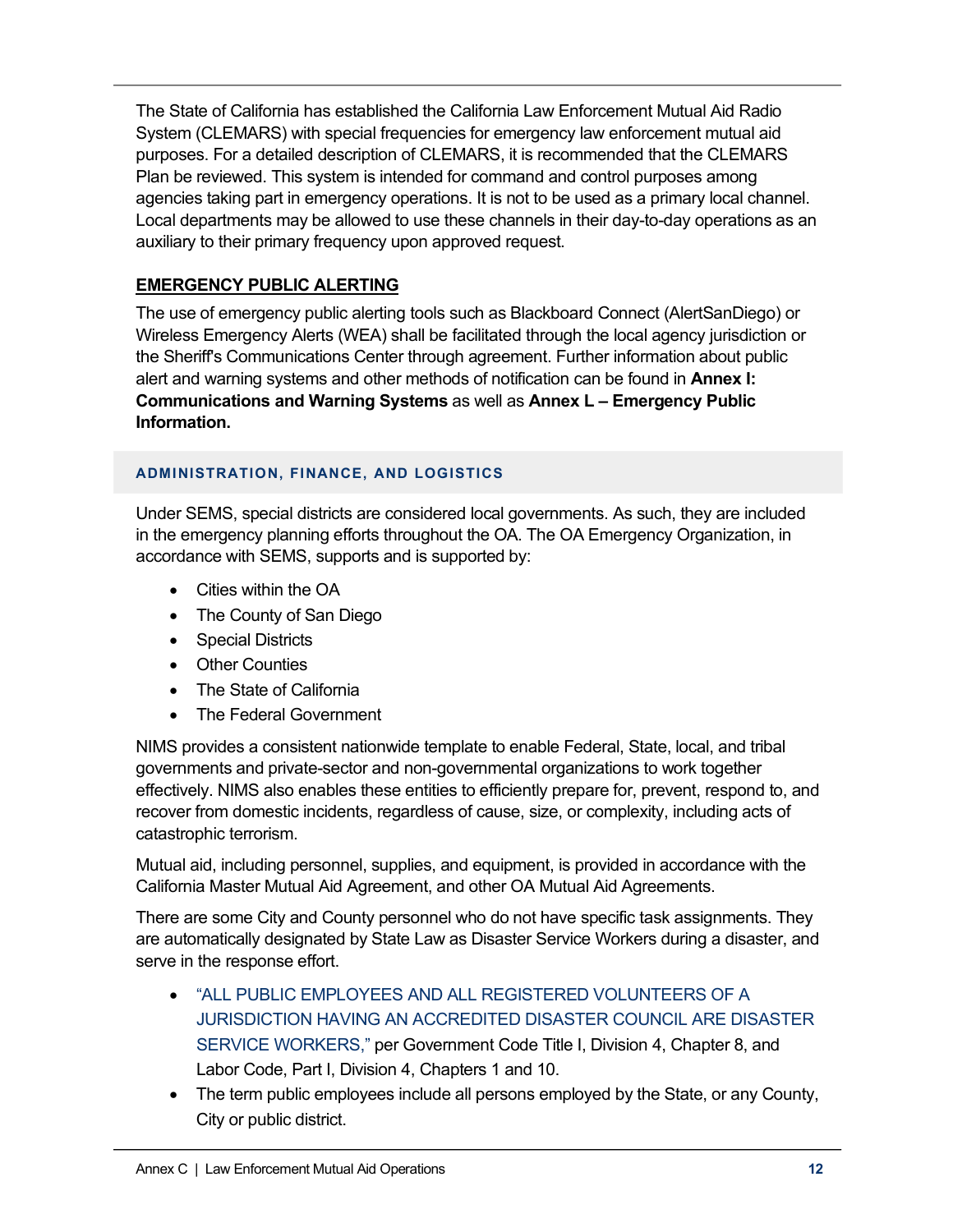The State of California has established the California Law Enforcement Mutual Aid Radio System (CLEMARS) with special frequencies for emergency law enforcement mutual aid purposes. For a detailed description of CLEMARS, it is recommended that the CLEMARS Plan be reviewed. This system is intended for command and control purposes among agencies taking part in emergency operations. It is not to be used as a primary local channel. Local departments may be allowed to use these channels in their day-to-day operations as an auxiliary to their primary frequency upon approved request.

# **EMERGENCY PUBLIC ALERTING**

The use of emergency public alerting tools such as Blackboard Connect (AlertSanDiego) or Wireless Emergency Alerts (WEA) shall be facilitated through the local agency jurisdiction or the Sheriff's Communications Center through agreement. Further information about public alert and warning systems and other methods of notification can be found in **Annex I: Communications and Warning Systems** as well as **Annex L – Emergency Public Information.**

### **ADMINISTRATION, FINANCE, AND LOGISTICS**

Under SEMS, special districts are considered local governments. As such, they are included in the emergency planning efforts throughout the OA. The OA Emergency Organization, in accordance with SEMS, supports and is supported by:

- Cities within the OA
- The County of San Diego
- Special Districts
- Other Counties
- The State of California
- The Federal Government

NIMS provides a consistent nationwide template to enable Federal, State, local, and tribal governments and private-sector and non-governmental organizations to work together effectively. NIMS also enables these entities to efficiently prepare for, prevent, respond to, and recover from domestic incidents, regardless of cause, size, or complexity, including acts of catastrophic terrorism.

Mutual aid, including personnel, supplies, and equipment, is provided in accordance with the California Master Mutual Aid Agreement, and other OA Mutual Aid Agreements.

There are some City and County personnel who do not have specific task assignments. They are automatically designated by State Law as Disaster Service Workers during a disaster, and serve in the response effort.

- "ALL PUBLIC EMPLOYEES AND ALL REGISTERED VOLUNTEERS OF A JURISDICTION HAVING AN ACCREDITED DISASTER COUNCIL ARE DISASTER SERVICE WORKERS," per Government Code Title I, Division 4, Chapter 8, and Labor Code, Part I, Division 4, Chapters 1 and 10.
- The term public employees include all persons employed by the State, or any County, City or public district.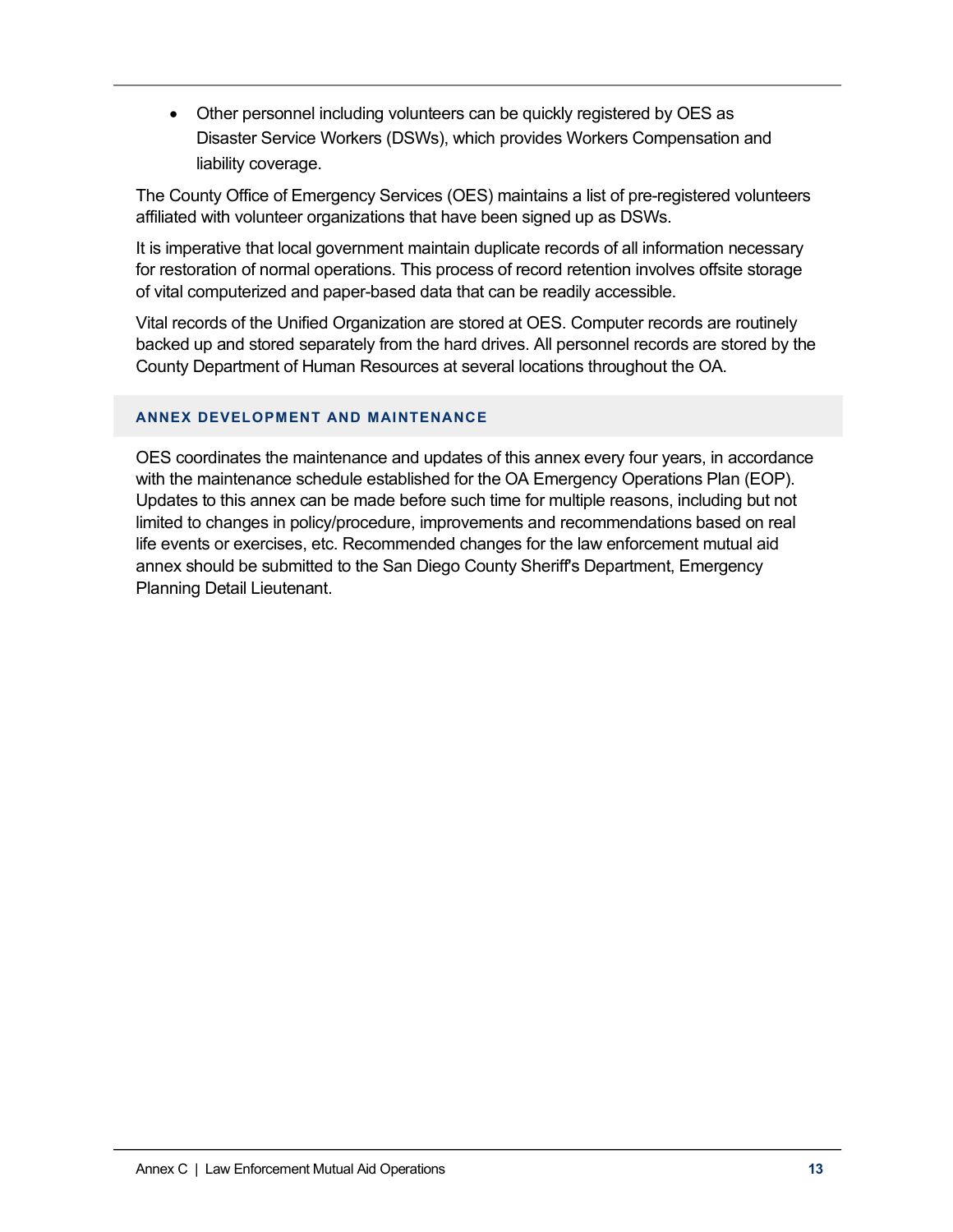• Other personnel including volunteers can be quickly registered by OES as Disaster Service Workers (DSWs), which provides Workers Compensation and liability coverage.

The County Office of Emergency Services (OES) maintains a list of pre-registered volunteers affiliated with volunteer organizations that have been signed up as DSWs.

It is imperative that local government maintain duplicate records of all information necessary for restoration of normal operations. This process of record retention involves offsite storage of vital computerized and paper-based data that can be readily accessible.

Vital records of the Unified Organization are stored at OES. Computer records are routinely backed up and stored separately from the hard drives. All personnel records are stored by the County Department of Human Resources at several locations throughout the OA.

#### **ANNEX DEVELOPMENT AND MAINTENANCE**

OES coordinates the maintenance and updates of this annex every four years, in accordance with the maintenance schedule established for the OA Emergency Operations Plan (EOP). Updates to this annex can be made before such time for multiple reasons, including but not limited to changes in policy/procedure, improvements and recommendations based on real life events or exercises, etc. Recommended changes for the law enforcement mutual aid annex should be submitted to the San Diego County Sheriff's Department, Emergency Planning Detail Lieutenant.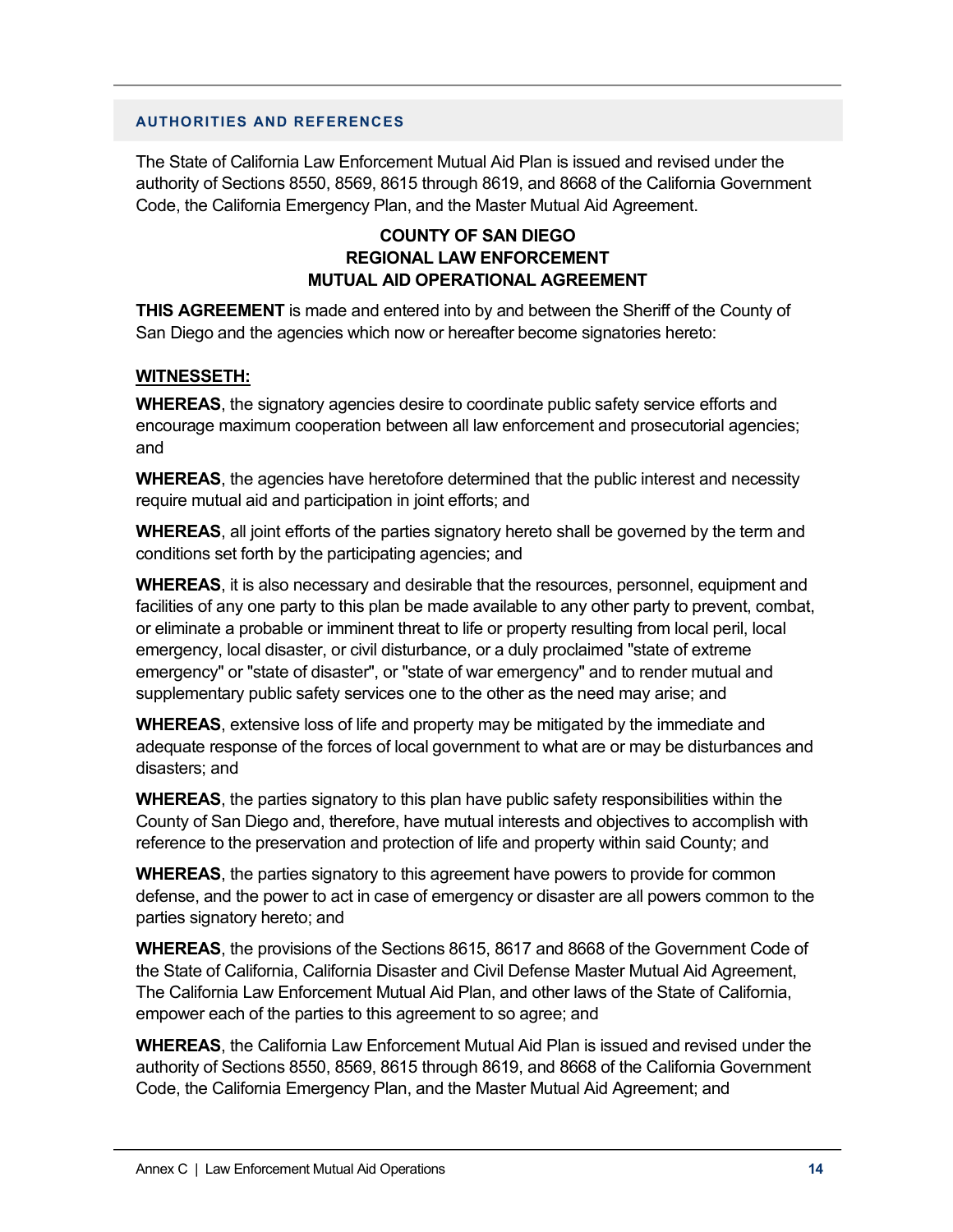#### **AUTHORITIES AND REFERENCES**

The State of California Law Enforcement Mutual Aid Plan is issued and revised under the authority of Sections 8550, 8569, 8615 through 8619, and 8668 of the California Government Code, the California Emergency Plan, and the Master Mutual Aid Agreement.

### **COUNTY OF SAN DIEGO REGIONAL LAW ENFORCEMENT MUTUAL AID OPERATIONAL AGREEMENT**

**THIS AGREEMENT** is made and entered into by and between the Sheriff of the County of San Diego and the agencies which now or hereafter become signatories hereto:

#### **WITNESSETH:**

**WHEREAS**, the signatory agencies desire to coordinate public safety service efforts and encourage maximum cooperation between all law enforcement and prosecutorial agencies; and

**WHEREAS**, the agencies have heretofore determined that the public interest and necessity require mutual aid and participation in joint efforts; and

**WHEREAS**, all joint efforts of the parties signatory hereto shall be governed by the term and conditions set forth by the participating agencies; and

**WHEREAS**, it is also necessary and desirable that the resources, personnel, equipment and facilities of any one party to this plan be made available to any other party to prevent, combat, or eliminate a probable or imminent threat to life or property resulting from local peril, local emergency, local disaster, or civil disturbance, or a duly proclaimed "state of extreme emergency" or "state of disaster", or "state of war emergency" and to render mutual and supplementary public safety services one to the other as the need may arise; and

**WHEREAS**, extensive loss of life and property may be mitigated by the immediate and adequate response of the forces of local government to what are or may be disturbances and disasters; and

**WHEREAS**, the parties signatory to this plan have public safety responsibilities within the County of San Diego and, therefore, have mutual interests and objectives to accomplish with reference to the preservation and protection of life and property within said County; and

**WHEREAS**, the parties signatory to this agreement have powers to provide for common defense, and the power to act in case of emergency or disaster are all powers common to the parties signatory hereto; and

**WHEREAS**, the provisions of the Sections 8615, 8617 and 8668 of the Government Code of the State of California, California Disaster and Civil Defense Master Mutual Aid Agreement, The California Law Enforcement Mutual Aid Plan, and other laws of the State of California, empower each of the parties to this agreement to so agree; and

**WHEREAS**, the California Law Enforcement Mutual Aid Plan is issued and revised under the authority of Sections 8550, 8569, 8615 through 8619, and 8668 of the California Government Code, the California Emergency Plan, and the Master Mutual Aid Agreement; and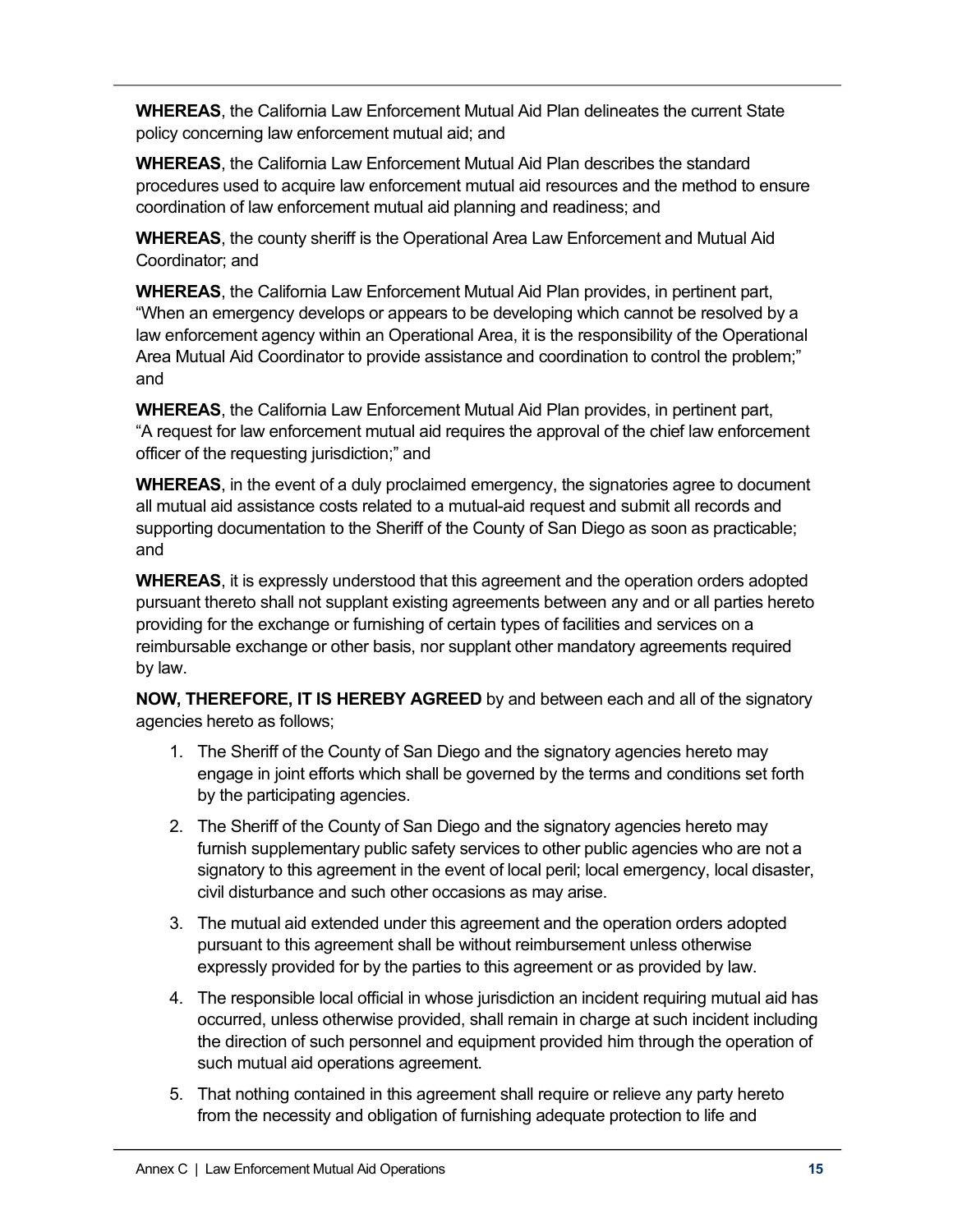**WHEREAS**, the California Law Enforcement Mutual Aid Plan delineates the current State policy concerning law enforcement mutual aid; and

**WHEREAS**, the California Law Enforcement Mutual Aid Plan describes the standard procedures used to acquire law enforcement mutual aid resources and the method to ensure coordination of law enforcement mutual aid planning and readiness; and

**WHEREAS**, the county sheriff is the Operational Area Law Enforcement and Mutual Aid Coordinator; and

**WHEREAS**, the California Law Enforcement Mutual Aid Plan provides, in pertinent part, "When an emergency develops or appears to be developing which cannot be resolved by a law enforcement agency within an Operational Area, it is the responsibility of the Operational Area Mutual Aid Coordinator to provide assistance and coordination to control the problem;" and

**WHEREAS**, the California Law Enforcement Mutual Aid Plan provides, in pertinent part, "A request for law enforcement mutual aid requires the approval of the chief law enforcement officer of the requesting jurisdiction;" and

**WHEREAS**, in the event of a duly proclaimed emergency, the signatories agree to document all mutual aid assistance costs related to a mutual-aid request and submit all records and supporting documentation to the Sheriff of the County of San Diego as soon as practicable; and

**WHEREAS**, it is expressly understood that this agreement and the operation orders adopted pursuant thereto shall not supplant existing agreements between any and or all parties hereto providing for the exchange or furnishing of certain types of facilities and services on a reimbursable exchange or other basis, nor supplant other mandatory agreements required by law.

**NOW, THEREFORE, IT IS HEREBY AGREED** by and between each and all of the signatory agencies hereto as follows;

- 1. The Sheriff of the County of San Diego and the signatory agencies hereto may engage in joint efforts which shall be governed by the terms and conditions set forth by the participating agencies.
- 2. The Sheriff of the County of San Diego and the signatory agencies hereto may furnish supplementary public safety services to other public agencies who are not a signatory to this agreement in the event of local peril; local emergency, local disaster, civil disturbance and such other occasions as may arise.
- 3. The mutual aid extended under this agreement and the operation orders adopted pursuant to this agreement shall be without reimbursement unless otherwise expressly provided for by the parties to this agreement or as provided by law.
- 4. The responsible local official in whose jurisdiction an incident requiring mutual aid has occurred, unless otherwise provided, shall remain in charge at such incident including the direction of such personnel and equipment provided him through the operation of such mutual aid operations agreement.
- 5. That nothing contained in this agreement shall require or relieve any party hereto from the necessity and obligation of furnishing adequate protection to life and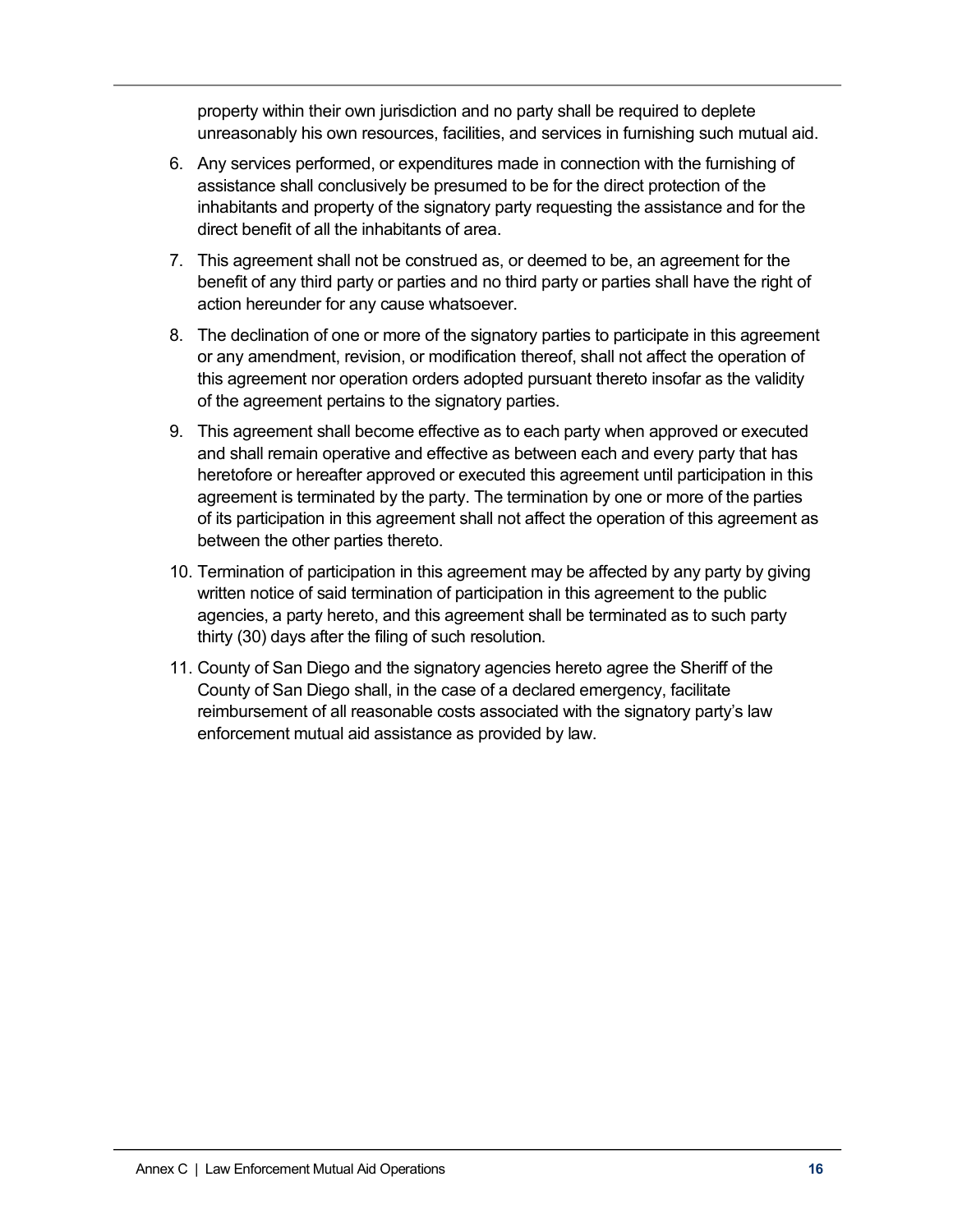property within their own jurisdiction and no party shall be required to deplete unreasonably his own resources, facilities, and services in furnishing such mutual aid.

- 6. Any services performed, or expenditures made in connection with the furnishing of assistance shall conclusively be presumed to be for the direct protection of the inhabitants and property of the signatory party requesting the assistance and for the direct benefit of all the inhabitants of area.
- 7. This agreement shall not be construed as, or deemed to be, an agreement for the benefit of any third party or parties and no third party or parties shall have the right of action hereunder for any cause whatsoever.
- 8. The declination of one or more of the signatory parties to participate in this agreement or any amendment, revision, or modification thereof, shall not affect the operation of this agreement nor operation orders adopted pursuant thereto insofar as the validity of the agreement pertains to the signatory parties.
- 9. This agreement shall become effective as to each party when approved or executed and shall remain operative and effective as between each and every party that has heretofore or hereafter approved or executed this agreement until participation in this agreement is terminated by the party. The termination by one or more of the parties of its participation in this agreement shall not affect the operation of this agreement as between the other parties thereto.
- 10. Termination of participation in this agreement may be affected by any party by giving written notice of said termination of participation in this agreement to the public agencies, a party hereto, and this agreement shall be terminated as to such party thirty (30) days after the filing of such resolution.
- 11. County of San Diego and the signatory agencies hereto agree the Sheriff of the County of San Diego shall, in the case of a declared emergency, facilitate reimbursement of all reasonable costs associated with the signatory party's law enforcement mutual aid assistance as provided by law.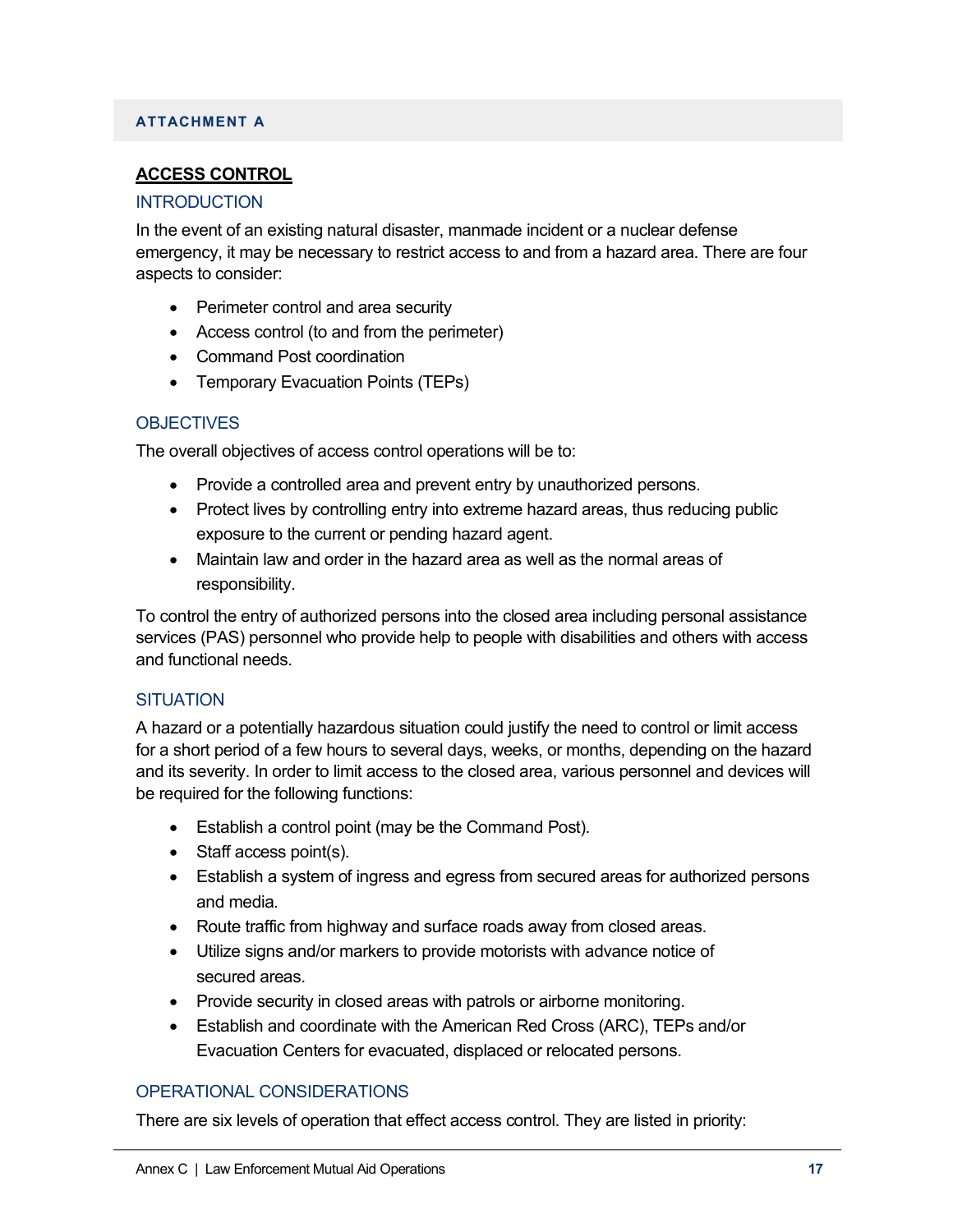### **ATTACHMENT A**

### **ACCESS CONTROL**

#### INTRODUCTION

In the event of an existing natural disaster, manmade incident or a nuclear defense emergency, it may be necessary to restrict access to and from a hazard area. There are four aspects to consider:

- Perimeter control and area security
- Access control (to and from the perimeter)
- Command Post coordination
- Temporary Evacuation Points (TEPs)

### **OBJECTIVES**

The overall objectives of access control operations will be to:

- Provide a controlled area and prevent entry by unauthorized persons.
- Protect lives by controlling entry into extreme hazard areas, thus reducing public exposure to the current or pending hazard agent.
- Maintain law and order in the hazard area as well as the normal areas of responsibility.

To control the entry of authorized persons into the closed area including personal assistance services (PAS) personnel who provide help to people with disabilities and others with access and functional needs.

#### **SITUATION**

A hazard or a potentially hazardous situation could justify the need to control or limit access for a short period of a few hours to several days, weeks, or months, depending on the hazard and its severity. In order to limit access to the closed area, various personnel and devices will be required for the following functions:

- Establish a control point (may be the Command Post).
- Staff access point(s).
- Establish a system of ingress and egress from secured areas for authorized persons and media.
- Route traffic from highway and surface roads away from closed areas.
- Utilize signs and/or markers to provide motorists with advance notice of secured areas.
- Provide security in closed areas with patrols or airborne monitoring.
- Establish and coordinate with the American Red Cross (ARC), TEPs and/or Evacuation Centers for evacuated, displaced or relocated persons.

### OPERATIONAL CONSIDERATIONS

There are six levels of operation that effect access control. They are listed in priority: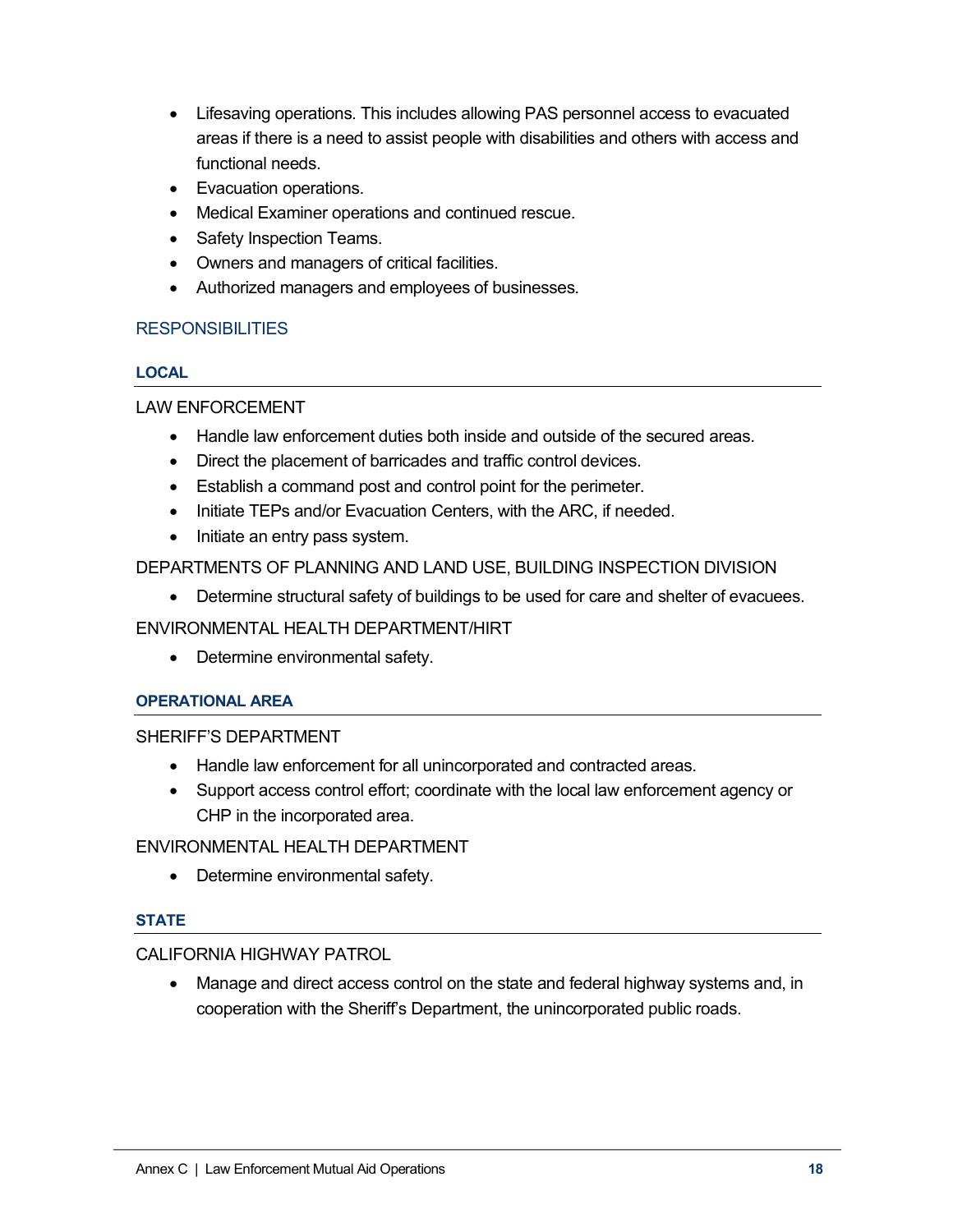- Lifesaving operations. This includes allowing PAS personnel access to evacuated areas if there is a need to assist people with disabilities and others with access and functional needs.
- Evacuation operations.
- Medical Examiner operations and continued rescue.
- Safety Inspection Teams.
- Owners and managers of critical facilities.
- Authorized managers and employees of businesses.

### **RESPONSIBILITIES**

#### **LOCAL**

LAW ENFORCEMENT

- Handle law enforcement duties both inside and outside of the secured areas.
- Direct the placement of barricades and traffic control devices.
- Establish a command post and control point for the perimeter.
- Initiate TEPs and/or Evacuation Centers, with the ARC, if needed.
- Initiate an entry pass system.

#### DEPARTMENTS OF PLANNING AND LAND USE, BUILDING INSPECTION DIVISION

• Determine structural safety of buildings to be used for care and shelter of evacuees.

#### ENVIRONMENTAL HEALTH DEPARTMENT/HIRT

• Determine environmental safety.

#### **OPERATIONAL AREA**

#### SHERIFF'S DEPARTMENT

- Handle law enforcement for all unincorporated and contracted areas.
- Support access control effort; coordinate with the local law enforcement agency or CHP in the incorporated area.

#### ENVIRONMENTAL HEALTH DEPARTMENT

• Determine environmental safety.

#### **STATE**

#### CALIFORNIA HIGHWAY PATROL

• Manage and direct access control on the state and federal highway systems and, in cooperation with the Sheriff's Department, the unincorporated public roads.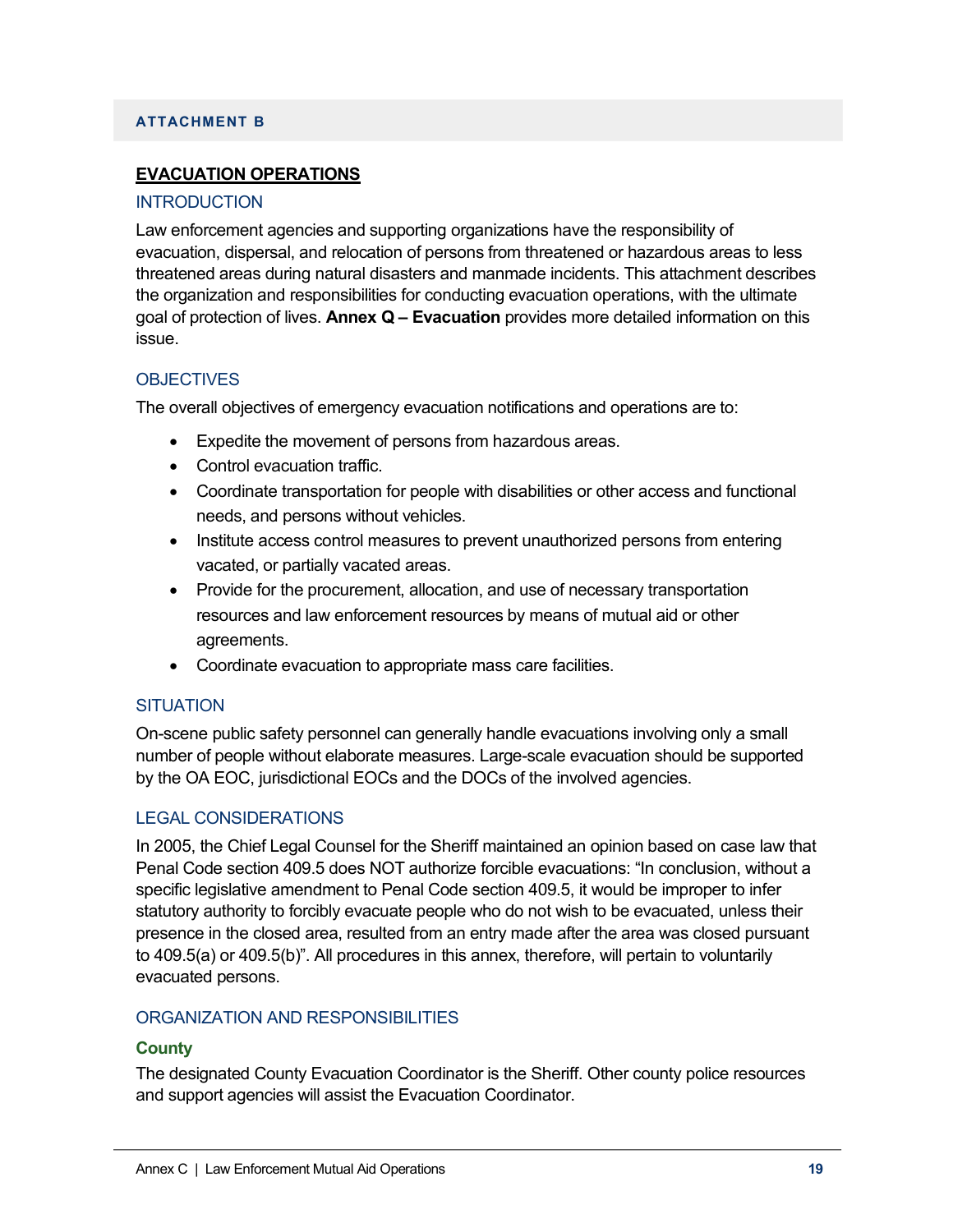#### **ATTACHMENT B**

### **EVACUATION OPERATIONS**

#### **INTRODUCTION**

Law enforcement agencies and supporting organizations have the responsibility of evacuation, dispersal, and relocation of persons from threatened or hazardous areas to less threatened areas during natural disasters and manmade incidents. This attachment describes the organization and responsibilities for conducting evacuation operations, with the ultimate goal of protection of lives. **Annex Q – Evacuation** provides more detailed information on this issue.

#### **OBJECTIVES**

The overall objectives of emergency evacuation notifications and operations are to:

- Expedite the movement of persons from hazardous areas.
- Control evacuation traffic.
- Coordinate transportation for people with disabilities or other access and functional needs, and persons without vehicles.
- Institute access control measures to prevent unauthorized persons from entering vacated, or partially vacated areas.
- Provide for the procurement, allocation, and use of necessary transportation resources and law enforcement resources by means of mutual aid or other agreements.
- Coordinate evacuation to appropriate mass care facilities.

#### **SITUATION**

On-scene public safety personnel can generally handle evacuations involving only a small number of people without elaborate measures. Large-scale evacuation should be supported by the OA EOC, jurisdictional EOCs and the DOCs of the involved agencies.

#### LEGAL CONSIDERATIONS

In 2005, the Chief Legal Counsel for the Sheriff maintained an opinion based on case law that Penal Code section 409.5 does NOT authorize forcible evacuations: "In conclusion, without a specific legislative amendment to Penal Code section 409.5, it would be improper to infer statutory authority to forcibly evacuate people who do not wish to be evacuated, unless their presence in the closed area, resulted from an entry made after the area was closed pursuant to 409.5(a) or 409.5(b)". All procedures in this annex, therefore, will pertain to voluntarily evacuated persons.

#### ORGANIZATION AND RESPONSIBILITIES

#### **County**

The designated County Evacuation Coordinator is the Sheriff. Other county police resources and support agencies will assist the Evacuation Coordinator.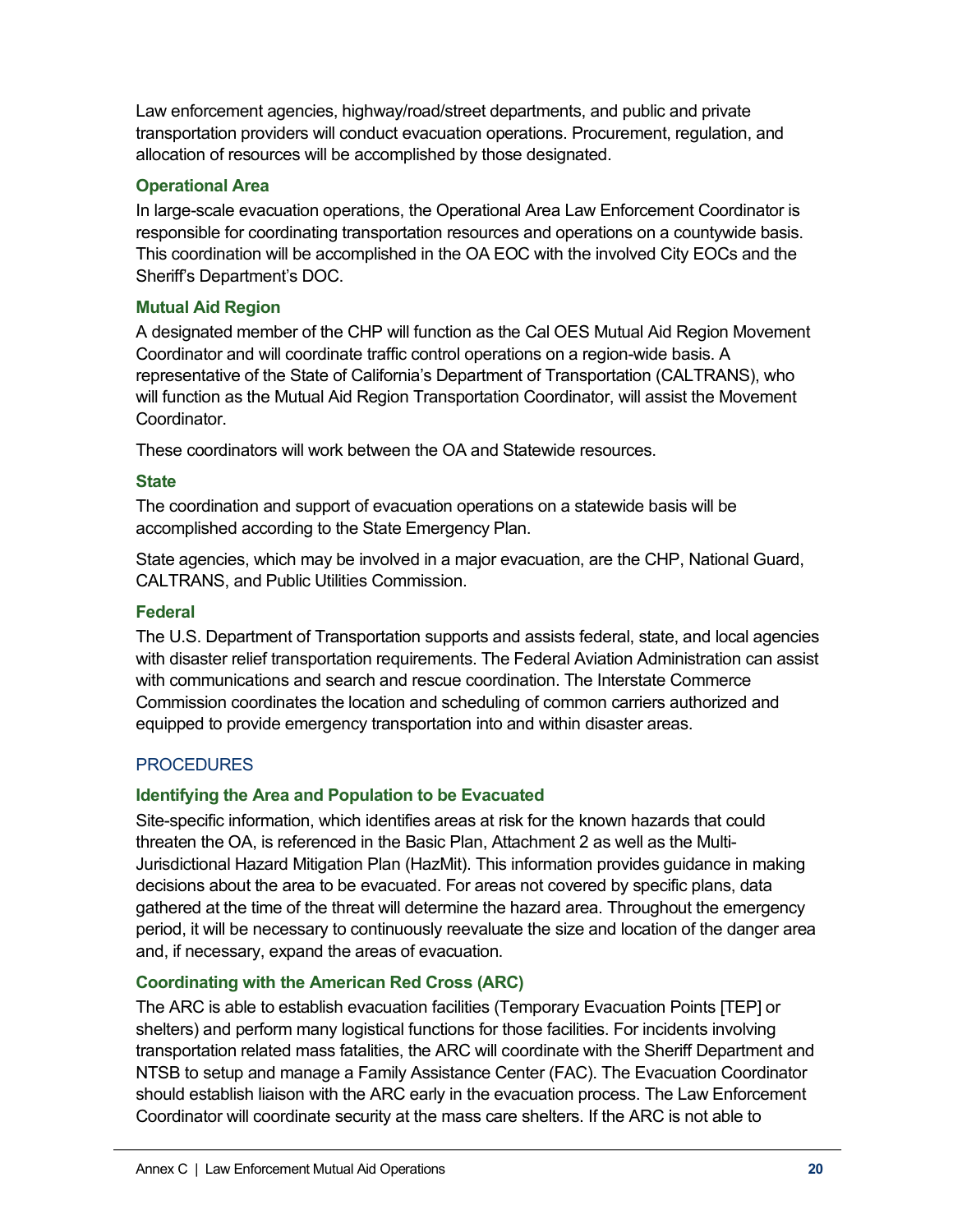Law enforcement agencies, highway/road/street departments, and public and private transportation providers will conduct evacuation operations. Procurement, regulation, and allocation of resources will be accomplished by those designated.

### **Operational Area**

In large-scale evacuation operations, the Operational Area Law Enforcement Coordinator is responsible for coordinating transportation resources and operations on a countywide basis. This coordination will be accomplished in the OA EOC with the involved City EOCs and the Sheriff's Department's DOC.

# **Mutual Aid Region**

A designated member of the CHP will function as the Cal OES Mutual Aid Region Movement Coordinator and will coordinate traffic control operations on a region-wide basis. A representative of the State of California's Department of Transportation (CALTRANS), who will function as the Mutual Aid Region Transportation Coordinator, will assist the Movement Coordinator.

These coordinators will work between the OA and Statewide resources.

### **State**

The coordination and support of evacuation operations on a statewide basis will be accomplished according to the State Emergency Plan.

State agencies, which may be involved in a major evacuation, are the CHP, National Guard, CALTRANS, and Public Utilities Commission.

# **Federal**

The U.S. Department of Transportation supports and assists federal, state, and local agencies with disaster relief transportation requirements. The Federal Aviation Administration can assist with communications and search and rescue coordination. The Interstate Commerce Commission coordinates the location and scheduling of common carriers authorized and equipped to provide emergency transportation into and within disaster areas.

### **PROCEDURES**

### **Identifying the Area and Population to be Evacuated**

Site-specific information, which identifies areas at risk for the known hazards that could threaten the OA, is referenced in the Basic Plan, Attachment 2 as well as the Multi-Jurisdictional Hazard Mitigation Plan (HazMit). This information provides guidance in making decisions about the area to be evacuated. For areas not covered by specific plans, data gathered at the time of the threat will determine the hazard area. Throughout the emergency period, it will be necessary to continuously reevaluate the size and location of the danger area and, if necessary, expand the areas of evacuation.

### **Coordinating with the American Red Cross (ARC)**

The ARC is able to establish evacuation facilities (Temporary Evacuation Points [TEP] or shelters) and perform many logistical functions for those facilities. For incidents involving transportation related mass fatalities, the ARC will coordinate with the Sheriff Department and NTSB to setup and manage a Family Assistance Center (FAC). The Evacuation Coordinator should establish liaison with the ARC early in the evacuation process. The Law Enforcement Coordinator will coordinate security at the mass care shelters. If the ARC is not able to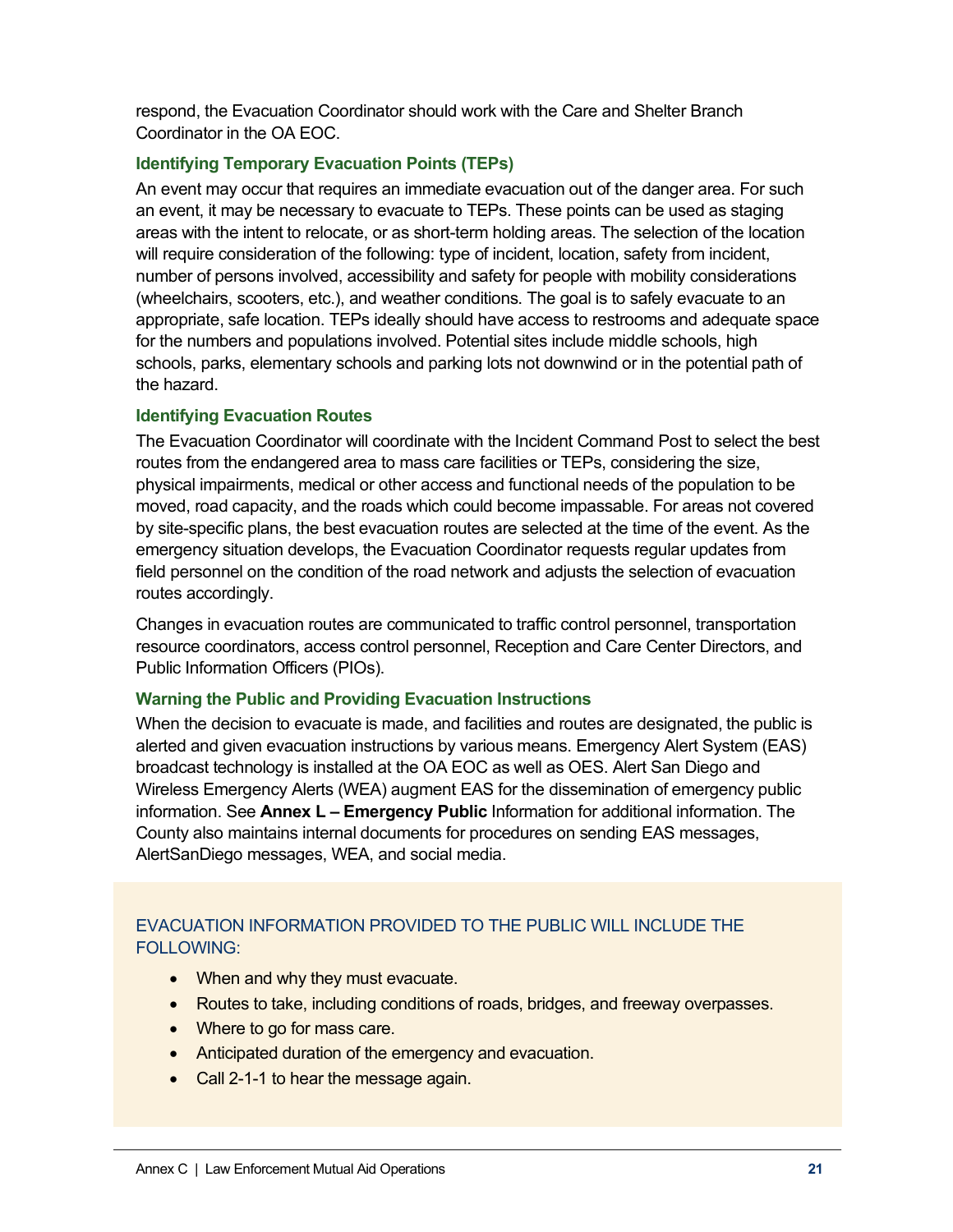respond, the Evacuation Coordinator should work with the Care and Shelter Branch Coordinator in the OA EOC.

### **Identifying Temporary Evacuation Points (TEPs)**

An event may occur that requires an immediate evacuation out of the danger area. For such an event, it may be necessary to evacuate to TEPs. These points can be used as staging areas with the intent to relocate, or as short-term holding areas. The selection of the location will require consideration of the following: type of incident, location, safety from incident, number of persons involved, accessibility and safety for people with mobility considerations (wheelchairs, scooters, etc.), and weather conditions. The goal is to safely evacuate to an appropriate, safe location. TEPs ideally should have access to restrooms and adequate space for the numbers and populations involved. Potential sites include middle schools, high schools, parks, elementary schools and parking lots not downwind or in the potential path of the hazard.

#### **Identifying Evacuation Routes**

The Evacuation Coordinator will coordinate with the Incident Command Post to select the best routes from the endangered area to mass care facilities or TEPs, considering the size, physical impairments, medical or other access and functional needs of the population to be moved, road capacity, and the roads which could become impassable. For areas not covered by site-specific plans, the best evacuation routes are selected at the time of the event. As the emergency situation develops, the Evacuation Coordinator requests regular updates from field personnel on the condition of the road network and adjusts the selection of evacuation routes accordingly.

Changes in evacuation routes are communicated to traffic control personnel, transportation resource coordinators, access control personnel, Reception and Care Center Directors, and Public Information Officers (PIOs).

#### **Warning the Public and Providing Evacuation Instructions**

When the decision to evacuate is made, and facilities and routes are designated, the public is alerted and given evacuation instructions by various means. Emergency Alert System (EAS) broadcast technology is installed at the OA EOC as well as OES. Alert San Diego and Wireless Emergency Alerts (WEA) augment EAS for the dissemination of emergency public information. See **Annex L – Emergency Public** Information for additional information. The County also maintains internal documents for procedures on sending EAS messages, AlertSanDiego messages, WEA, and social media.

### EVACUATION INFORMATION PROVIDED TO THE PUBLIC WILL INCLUDE THE FOLLOWING:

- When and why they must evacuate.
- Routes to take, including conditions of roads, bridges, and freeway overpasses.
- Where to go for mass care.
- Anticipated duration of the emergency and evacuation.
- Call 2-1-1 to hear the message again.